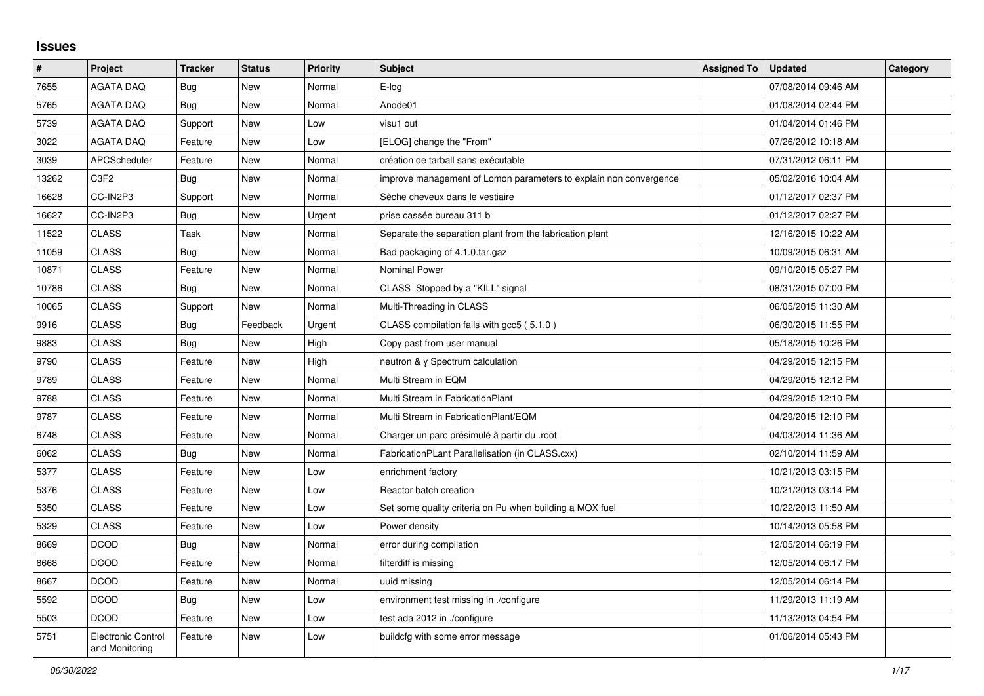## **Issues**

| $\vert$ # | Project                                     | <b>Tracker</b> | <b>Status</b> | <b>Priority</b> | <b>Subject</b>                                                    | <b>Assigned To</b> | <b>Updated</b>      | Category |
|-----------|---------------------------------------------|----------------|---------------|-----------------|-------------------------------------------------------------------|--------------------|---------------------|----------|
| 7655      | <b>AGATA DAQ</b>                            | <b>Bug</b>     | New           | Normal          | E-log                                                             |                    | 07/08/2014 09:46 AM |          |
| 5765      | <b>AGATA DAQ</b>                            | <b>Bug</b>     | <b>New</b>    | Normal          | Anode01                                                           |                    | 01/08/2014 02:44 PM |          |
| 5739      | AGATA DAQ                                   | Support        | New           | Low             | visu1 out                                                         |                    | 01/04/2014 01:46 PM |          |
| 3022      | <b>AGATA DAQ</b>                            | Feature        | <b>New</b>    | Low             | [ELOG] change the "From"                                          |                    | 07/26/2012 10:18 AM |          |
| 3039      | <b>APCScheduler</b>                         | Feature        | New           | Normal          | création de tarball sans exécutable                               |                    | 07/31/2012 06:11 PM |          |
| 13262     | C3F2                                        | Bug            | New           | Normal          | improve management of Lomon parameters to explain non convergence |                    | 05/02/2016 10:04 AM |          |
| 16628     | CC-IN2P3                                    | Support        | <b>New</b>    | Normal          | Sèche cheveux dans le vestiaire                                   |                    | 01/12/2017 02:37 PM |          |
| 16627     | CC-IN2P3                                    | Bug            | New           | Urgent          | prise cassée bureau 311 b                                         |                    | 01/12/2017 02:27 PM |          |
| 11522     | <b>CLASS</b>                                | Task           | New           | Normal          | Separate the separation plant from the fabrication plant          |                    | 12/16/2015 10:22 AM |          |
| 11059     | <b>CLASS</b>                                | Bug            | New           | Normal          | Bad packaging of 4.1.0.tar.gaz                                    |                    | 10/09/2015 06:31 AM |          |
| 10871     | <b>CLASS</b>                                | Feature        | New           | Normal          | <b>Nominal Power</b>                                              |                    | 09/10/2015 05:27 PM |          |
| 10786     | <b>CLASS</b>                                | <b>Bug</b>     | New           | Normal          | CLASS Stopped by a "KILL" signal                                  |                    | 08/31/2015 07:00 PM |          |
| 10065     | <b>CLASS</b>                                | Support        | New           | Normal          | Multi-Threading in CLASS                                          |                    | 06/05/2015 11:30 AM |          |
| 9916      | <b>CLASS</b>                                | <b>Bug</b>     | Feedback      | Urgent          | CLASS compilation fails with gcc5 (5.1.0)                         |                    | 06/30/2015 11:55 PM |          |
| 9883      | <b>CLASS</b>                                | <b>Bug</b>     | <b>New</b>    | High            | Copy past from user manual                                        |                    | 05/18/2015 10:26 PM |          |
| 9790      | <b>CLASS</b>                                | Feature        | <b>New</b>    | High            | neutron & y Spectrum calculation                                  |                    | 04/29/2015 12:15 PM |          |
| 9789      | <b>CLASS</b>                                | Feature        | <b>New</b>    | Normal          | Multi Stream in EQM                                               |                    | 04/29/2015 12:12 PM |          |
| 9788      | <b>CLASS</b>                                | Feature        | New           | Normal          | Multi Stream in FabricationPlant                                  |                    | 04/29/2015 12:10 PM |          |
| 9787      | <b>CLASS</b>                                | Feature        | <b>New</b>    | Normal          | Multi Stream in FabricationPlant/EQM                              |                    | 04/29/2015 12:10 PM |          |
| 6748      | <b>CLASS</b>                                | Feature        | <b>New</b>    | Normal          | Charger un parc présimulé à partir du .root                       |                    | 04/03/2014 11:36 AM |          |
| 6062      | <b>CLASS</b>                                | Bug            | <b>New</b>    | Normal          | FabricationPLant Parallelisation (in CLASS.cxx)                   |                    | 02/10/2014 11:59 AM |          |
| 5377      | <b>CLASS</b>                                | Feature        | New           | Low             | enrichment factory                                                |                    | 10/21/2013 03:15 PM |          |
| 5376      | <b>CLASS</b>                                | Feature        | New           | Low             | Reactor batch creation                                            |                    | 10/21/2013 03:14 PM |          |
| 5350      | <b>CLASS</b>                                | Feature        | <b>New</b>    | Low             | Set some quality criteria on Pu when building a MOX fuel          |                    | 10/22/2013 11:50 AM |          |
| 5329      | <b>CLASS</b>                                | Feature        | <b>New</b>    | Low             | Power density                                                     |                    | 10/14/2013 05:58 PM |          |
| 8669      | <b>DCOD</b>                                 | Bug            | New           | Normal          | error during compilation                                          |                    | 12/05/2014 06:19 PM |          |
| 8668      | <b>DCOD</b>                                 | Feature        | New           | Normal          | filterdiff is missing                                             |                    | 12/05/2014 06:17 PM |          |
| 8667      | <b>DCOD</b>                                 | Feature        | New           | Normal          | uuid missing                                                      |                    | 12/05/2014 06:14 PM |          |
| 5592      | <b>DCOD</b>                                 | Bug            | New           | Low             | environment test missing in ./configure                           |                    | 11/29/2013 11:19 AM |          |
| 5503      | <b>DCOD</b>                                 | Feature        | <b>New</b>    | Low             | test ada 2012 in ./configure                                      |                    | 11/13/2013 04:54 PM |          |
| 5751      | <b>Electronic Control</b><br>and Monitoring | Feature        | New           | Low             | buildcfg with some error message                                  |                    | 01/06/2014 05:43 PM |          |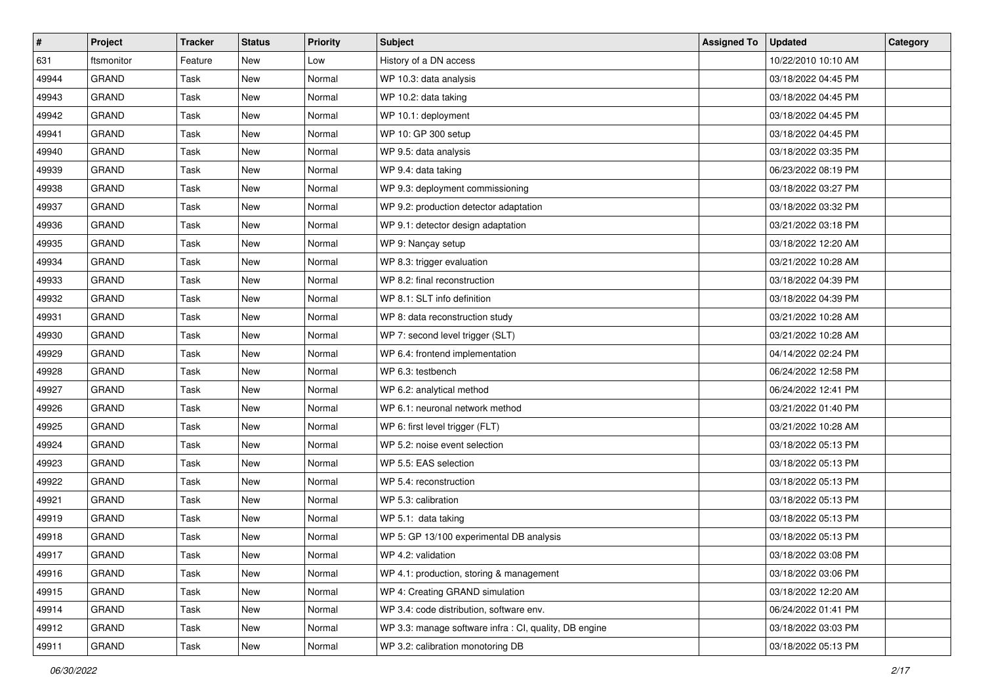| $\vert$ # | Project      | <b>Tracker</b> | <b>Status</b> | <b>Priority</b> | <b>Subject</b>                                         | <b>Assigned To</b> | <b>Updated</b>      | Category |
|-----------|--------------|----------------|---------------|-----------------|--------------------------------------------------------|--------------------|---------------------|----------|
| 631       | ftsmonitor   | Feature        | New           | Low             | History of a DN access                                 |                    | 10/22/2010 10:10 AM |          |
| 49944     | <b>GRAND</b> | Task           | <b>New</b>    | Normal          | WP 10.3: data analysis                                 |                    | 03/18/2022 04:45 PM |          |
| 49943     | GRAND        | Task           | <b>New</b>    | Normal          | WP 10.2: data taking                                   |                    | 03/18/2022 04:45 PM |          |
| 49942     | <b>GRAND</b> | Task           | <b>New</b>    | Normal          | WP 10.1: deployment                                    |                    | 03/18/2022 04:45 PM |          |
| 49941     | GRAND        | Task           | <b>New</b>    | Normal          | WP 10: GP 300 setup                                    |                    | 03/18/2022 04:45 PM |          |
| 49940     | <b>GRAND</b> | Task           | <b>New</b>    | Normal          | WP 9.5: data analysis                                  |                    | 03/18/2022 03:35 PM |          |
| 49939     | <b>GRAND</b> | Task           | <b>New</b>    | Normal          | WP 9.4: data taking                                    |                    | 06/23/2022 08:19 PM |          |
| 49938     | GRAND        | Task           | <b>New</b>    | Normal          | WP 9.3: deployment commissioning                       |                    | 03/18/2022 03:27 PM |          |
| 49937     | <b>GRAND</b> | Task           | <b>New</b>    | Normal          | WP 9.2: production detector adaptation                 |                    | 03/18/2022 03:32 PM |          |
| 49936     | <b>GRAND</b> | Task           | New           | Normal          | WP 9.1: detector design adaptation                     |                    | 03/21/2022 03:18 PM |          |
| 49935     | <b>GRAND</b> | Task           | <b>New</b>    | Normal          | WP 9: Nançay setup                                     |                    | 03/18/2022 12:20 AM |          |
| 49934     | <b>GRAND</b> | Task           | <b>New</b>    | Normal          | WP 8.3: trigger evaluation                             |                    | 03/21/2022 10:28 AM |          |
| 49933     | <b>GRAND</b> | Task           | <b>New</b>    | Normal          | WP 8.2: final reconstruction                           |                    | 03/18/2022 04:39 PM |          |
| 49932     | <b>GRAND</b> | Task           | <b>New</b>    | Normal          | WP 8.1: SLT info definition                            |                    | 03/18/2022 04:39 PM |          |
| 49931     | <b>GRAND</b> | Task           | <b>New</b>    | Normal          | WP 8: data reconstruction study                        |                    | 03/21/2022 10:28 AM |          |
| 49930     | GRAND        | Task           | <b>New</b>    | Normal          | WP 7: second level trigger (SLT)                       |                    | 03/21/2022 10:28 AM |          |
| 49929     | <b>GRAND</b> | Task           | <b>New</b>    | Normal          | WP 6.4: frontend implementation                        |                    | 04/14/2022 02:24 PM |          |
| 49928     | <b>GRAND</b> | Task           | <b>New</b>    | Normal          | WP 6.3: testbench                                      |                    | 06/24/2022 12:58 PM |          |
| 49927     | <b>GRAND</b> | Task           | <b>New</b>    | Normal          | WP 6.2: analytical method                              |                    | 06/24/2022 12:41 PM |          |
| 49926     | <b>GRAND</b> | Task           | <b>New</b>    | Normal          | WP 6.1: neuronal network method                        |                    | 03/21/2022 01:40 PM |          |
| 49925     | <b>GRAND</b> | Task           | <b>New</b>    | Normal          | WP 6: first level trigger (FLT)                        |                    | 03/21/2022 10:28 AM |          |
| 49924     | <b>GRAND</b> | Task           | <b>New</b>    | Normal          | WP 5.2: noise event selection                          |                    | 03/18/2022 05:13 PM |          |
| 49923     | <b>GRAND</b> | Task           | <b>New</b>    | Normal          | WP 5.5: EAS selection                                  |                    | 03/18/2022 05:13 PM |          |
| 49922     | <b>GRAND</b> | Task           | <b>New</b>    | Normal          | WP 5.4: reconstruction                                 |                    | 03/18/2022 05:13 PM |          |
| 49921     | <b>GRAND</b> | Task           | <b>New</b>    | Normal          | WP 5.3: calibration                                    |                    | 03/18/2022 05:13 PM |          |
| 49919     | <b>GRAND</b> | Task           | <b>New</b>    | Normal          | WP 5.1: data taking                                    |                    | 03/18/2022 05:13 PM |          |
| 49918     | <b>GRAND</b> | Task           | <b>New</b>    | Normal          | WP 5: GP 13/100 experimental DB analysis               |                    | 03/18/2022 05:13 PM |          |
| 49917     | GRAND        | Task           | New           | Normal          | WP 4.2: validation                                     |                    | 03/18/2022 03:08 PM |          |
| 49916     | GRAND        | Task           | New           | Normal          | WP 4.1: production, storing & management               |                    | 03/18/2022 03:06 PM |          |
| 49915     | GRAND        | Task           | New           | Normal          | WP 4: Creating GRAND simulation                        |                    | 03/18/2022 12:20 AM |          |
| 49914     | GRAND        | Task           | New           | Normal          | WP 3.4: code distribution, software env.               |                    | 06/24/2022 01:41 PM |          |
| 49912     | GRAND        | Task           | New           | Normal          | WP 3.3: manage software infra : CI, quality, DB engine |                    | 03/18/2022 03:03 PM |          |
| 49911     | GRAND        | Task           | New           | Normal          | WP 3.2: calibration monotoring DB                      |                    | 03/18/2022 05:13 PM |          |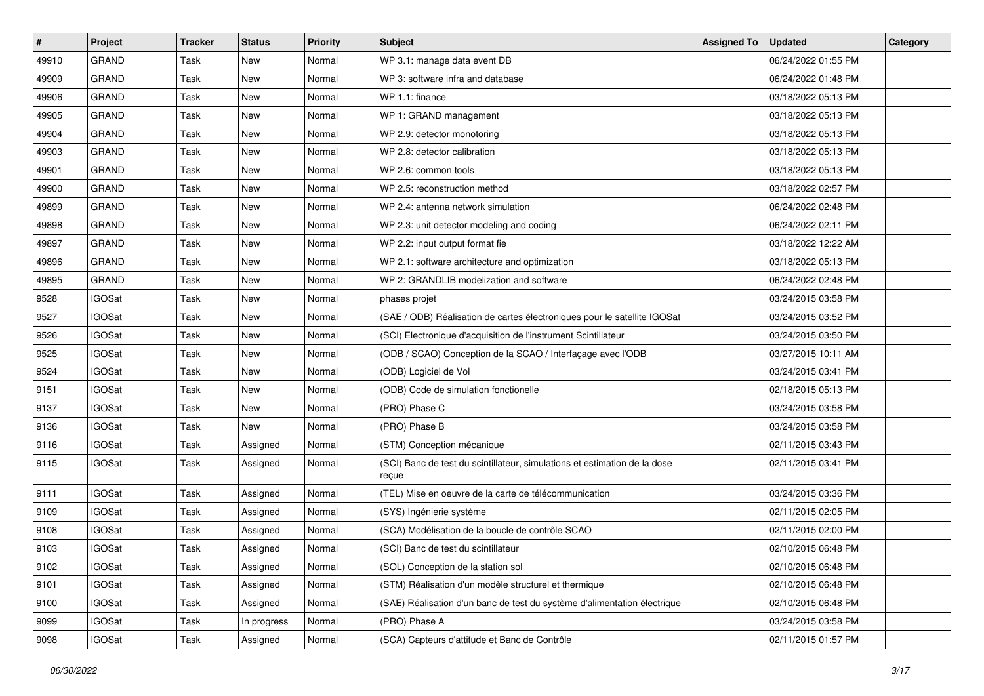| $\vert$ # | Project       | <b>Tracker</b> | <b>Status</b> | <b>Priority</b> | Subject                                                                            | <b>Assigned To</b> | <b>Updated</b>      | Category |
|-----------|---------------|----------------|---------------|-----------------|------------------------------------------------------------------------------------|--------------------|---------------------|----------|
| 49910     | <b>GRAND</b>  | Task           | <b>New</b>    | Normal          | WP 3.1: manage data event DB                                                       |                    | 06/24/2022 01:55 PM |          |
| 49909     | <b>GRAND</b>  | Task           | <b>New</b>    | Normal          | WP 3: software infra and database                                                  |                    | 06/24/2022 01:48 PM |          |
| 49906     | GRAND         | Task           | New           | Normal          | WP 1.1: finance                                                                    |                    | 03/18/2022 05:13 PM |          |
| 49905     | <b>GRAND</b>  | Task           | <b>New</b>    | Normal          | WP 1: GRAND management                                                             |                    | 03/18/2022 05:13 PM |          |
| 49904     | <b>GRAND</b>  | Task           | <b>New</b>    | Normal          | WP 2.9: detector monotoring                                                        |                    | 03/18/2022 05:13 PM |          |
| 49903     | <b>GRAND</b>  | Task           | <b>New</b>    | Normal          | WP 2.8: detector calibration                                                       |                    | 03/18/2022 05:13 PM |          |
| 49901     | <b>GRAND</b>  | Task           | <b>New</b>    | Normal          | WP 2.6: common tools                                                               |                    | 03/18/2022 05:13 PM |          |
| 49900     | GRAND         | Task           | New           | Normal          | WP 2.5: reconstruction method                                                      |                    | 03/18/2022 02:57 PM |          |
| 49899     | <b>GRAND</b>  | Task           | New           | Normal          | WP 2.4: antenna network simulation                                                 |                    | 06/24/2022 02:48 PM |          |
| 49898     | <b>GRAND</b>  | Task           | New           | Normal          | WP 2.3: unit detector modeling and coding                                          |                    | 06/24/2022 02:11 PM |          |
| 49897     | <b>GRAND</b>  | Task           | <b>New</b>    | Normal          | WP 2.2: input output format fie                                                    |                    | 03/18/2022 12:22 AM |          |
| 49896     | <b>GRAND</b>  | Task           | <b>New</b>    | Normal          | WP 2.1: software architecture and optimization                                     |                    | 03/18/2022 05:13 PM |          |
| 49895     | <b>GRAND</b>  | Task           | New           | Normal          | WP 2: GRANDLIB modelization and software                                           |                    | 06/24/2022 02:48 PM |          |
| 9528      | <b>IGOSat</b> | Task           | New           | Normal          | phases projet                                                                      |                    | 03/24/2015 03:58 PM |          |
| 9527      | <b>IGOSat</b> | Task           | <b>New</b>    | Normal          | (SAE / ODB) Réalisation de cartes électroniques pour le satellite IGOSat           |                    | 03/24/2015 03:52 PM |          |
| 9526      | <b>IGOSat</b> | Task           | New           | Normal          | (SCI) Electronique d'acquisition de l'instrument Scintillateur                     |                    | 03/24/2015 03:50 PM |          |
| 9525      | <b>IGOSat</b> | Task           | <b>New</b>    | Normal          | (ODB / SCAO) Conception de la SCAO / Interfaçage avec l'ODB                        |                    | 03/27/2015 10:11 AM |          |
| 9524      | <b>IGOSat</b> | Task           | New           | Normal          | (ODB) Logiciel de Vol                                                              |                    | 03/24/2015 03:41 PM |          |
| 9151      | <b>IGOSat</b> | Task           | <b>New</b>    | Normal          | (ODB) Code de simulation fonctionelle                                              |                    | 02/18/2015 05:13 PM |          |
| 9137      | <b>IGOSat</b> | Task           | <b>New</b>    | Normal          | (PRO) Phase C                                                                      |                    | 03/24/2015 03:58 PM |          |
| 9136      | <b>IGOSat</b> | Task           | <b>New</b>    | Normal          | (PRO) Phase B                                                                      |                    | 03/24/2015 03:58 PM |          |
| 9116      | <b>IGOSat</b> | Task           | Assigned      | Normal          | (STM) Conception mécanique                                                         |                    | 02/11/2015 03:43 PM |          |
| 9115      | <b>IGOSat</b> | Task           | Assigned      | Normal          | (SCI) Banc de test du scintillateur, simulations et estimation de la dose<br>reçue |                    | 02/11/2015 03:41 PM |          |
| 9111      | <b>IGOSat</b> | Task           | Assigned      | Normal          | (TEL) Mise en oeuvre de la carte de télécommunication                              |                    | 03/24/2015 03:36 PM |          |
| 9109      | <b>IGOSat</b> | Task           | Assigned      | Normal          | (SYS) Ingénierie système                                                           |                    | 02/11/2015 02:05 PM |          |
| 9108      | <b>IGOSat</b> | Task           | Assigned      | Normal          | (SCA) Modélisation de la boucle de contrôle SCAO                                   |                    | 02/11/2015 02:00 PM |          |
| 9103      | <b>IGOSat</b> | Task           | Assigned      | Normal          | (SCI) Banc de test du scintillateur                                                |                    | 02/10/2015 06:48 PM |          |
| 9102      | <b>IGOSat</b> | Task           | Assigned      | Normal          | (SOL) Conception de la station sol                                                 |                    | 02/10/2015 06:48 PM |          |
| 9101      | <b>IGOSat</b> | Task           | Assigned      | Normal          | (STM) Réalisation d'un modèle structurel et thermique                              |                    | 02/10/2015 06:48 PM |          |
| 9100      | <b>IGOSat</b> | Task           | Assigned      | Normal          | (SAE) Réalisation d'un banc de test du système d'alimentation électrique           |                    | 02/10/2015 06:48 PM |          |
| 9099      | <b>IGOSat</b> | Task           | In progress   | Normal          | (PRO) Phase A                                                                      |                    | 03/24/2015 03:58 PM |          |
| 9098      | <b>IGOSat</b> | Task           | Assigned      | Normal          | (SCA) Capteurs d'attitude et Banc de Contrôle                                      |                    | 02/11/2015 01:57 PM |          |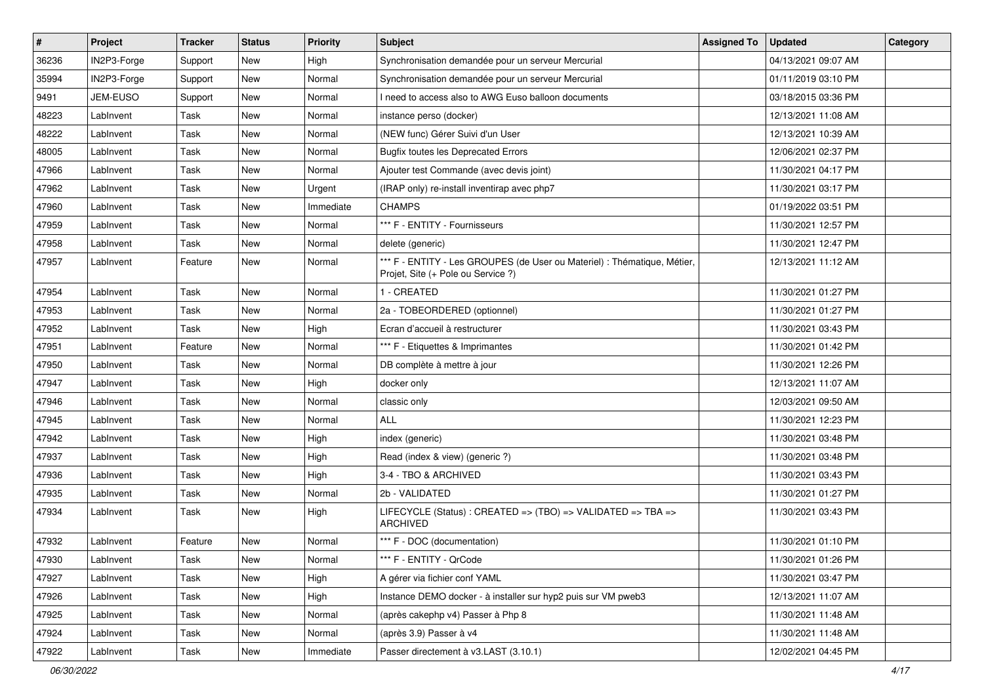| #     | Project     | <b>Tracker</b> | <b>Status</b> | <b>Priority</b> | Subject                                                                                                        | <b>Assigned To</b> | <b>Updated</b>      | Category |
|-------|-------------|----------------|---------------|-----------------|----------------------------------------------------------------------------------------------------------------|--------------------|---------------------|----------|
| 36236 | IN2P3-Forge | Support        | New           | High            | Synchronisation demandée pour un serveur Mercurial                                                             |                    | 04/13/2021 09:07 AM |          |
| 35994 | IN2P3-Forge | Support        | New           | Normal          | Synchronisation demandée pour un serveur Mercurial                                                             |                    | 01/11/2019 03:10 PM |          |
| 9491  | JEM-EUSO    | Support        | New           | Normal          | I need to access also to AWG Euso balloon documents                                                            |                    | 03/18/2015 03:36 PM |          |
| 48223 | LabInvent   | Task           | New           | Normal          | instance perso (docker)                                                                                        |                    | 12/13/2021 11:08 AM |          |
| 48222 | LabInvent   | Task           | New           | Normal          | (NEW func) Gérer Suivi d'un User                                                                               |                    | 12/13/2021 10:39 AM |          |
| 48005 | LabInvent   | Task           | New           | Normal          | <b>Bugfix toutes les Deprecated Errors</b>                                                                     |                    | 12/06/2021 02:37 PM |          |
| 47966 | LabInvent   | Task           | <b>New</b>    | Normal          | Ajouter test Commande (avec devis joint)                                                                       |                    | 11/30/2021 04:17 PM |          |
| 47962 | LabInvent   | Task           | New           | Urgent          | (IRAP only) re-install inventirap avec php7                                                                    |                    | 11/30/2021 03:17 PM |          |
| 47960 | LabInvent   | Task           | New           | Immediate       | <b>CHAMPS</b>                                                                                                  |                    | 01/19/2022 03:51 PM |          |
| 47959 | LabInvent   | Task           | New           | Normal          | *** F - ENTITY - Fournisseurs                                                                                  |                    | 11/30/2021 12:57 PM |          |
| 47958 | LabInvent   | Task           | New           | Normal          | delete (generic)                                                                                               |                    | 11/30/2021 12:47 PM |          |
| 47957 | LabInvent   | Feature        | New           | Normal          | *** F - ENTITY - Les GROUPES (de User ou Materiel) : Thématique, Métier,<br>Projet, Site (+ Pole ou Service ?) |                    | 12/13/2021 11:12 AM |          |
| 47954 | LabInvent   | Task           | New           | Normal          | 1 - CREATED                                                                                                    |                    | 11/30/2021 01:27 PM |          |
| 47953 | LabInvent   | Task           | <b>New</b>    | Normal          | 2a - TOBEORDERED (optionnel)                                                                                   |                    | 11/30/2021 01:27 PM |          |
| 47952 | LabInvent   | Task           | New           | High            | Ecran d'accueil à restructurer                                                                                 |                    | 11/30/2021 03:43 PM |          |
| 47951 | LabInvent   | Feature        | New           | Normal          | *** F - Etiquettes & Imprimantes                                                                               |                    | 11/30/2021 01:42 PM |          |
| 47950 | LabInvent   | Task           | <b>New</b>    | Normal          | DB complète à mettre à jour                                                                                    |                    | 11/30/2021 12:26 PM |          |
| 47947 | LabInvent   | Task           | New           | High            | docker only                                                                                                    |                    | 12/13/2021 11:07 AM |          |
| 47946 | LabInvent   | Task           | <b>New</b>    | Normal          | classic only                                                                                                   |                    | 12/03/2021 09:50 AM |          |
| 47945 | LabInvent   | Task           | New           | Normal          | <b>ALL</b>                                                                                                     |                    | 11/30/2021 12:23 PM |          |
| 47942 | LabInvent   | Task           | New           | High            | index (generic)                                                                                                |                    | 11/30/2021 03:48 PM |          |
| 47937 | LabInvent   | Task           | New           | High            | Read (index & view) (generic ?)                                                                                |                    | 11/30/2021 03:48 PM |          |
| 47936 | LabInvent   | Task           | New           | High            | 3-4 - TBO & ARCHIVED                                                                                           |                    | 11/30/2021 03:43 PM |          |
| 47935 | LabInvent   | Task           | New           | Normal          | 2b - VALIDATED                                                                                                 |                    | 11/30/2021 01:27 PM |          |
| 47934 | LabInvent   | Task           | New           | High            | LIFECYCLE (Status) : CREATED => (TBO) => VALIDATED => TBA =><br><b>ARCHIVED</b>                                |                    | 11/30/2021 03:43 PM |          |
| 47932 | LabInvent   | Feature        | <b>New</b>    | Normal          | *** F - DOC (documentation)                                                                                    |                    | 11/30/2021 01:10 PM |          |
| 47930 | LabInvent   | Task           | New           | Normal          | *** F - ENTITY - QrCode                                                                                        |                    | 11/30/2021 01:26 PM |          |
| 47927 | LabInvent   | Task           | New           | High            | A gérer via fichier conf YAML                                                                                  |                    | 11/30/2021 03:47 PM |          |
| 47926 | LabInvent   | Task           | New           | High            | Instance DEMO docker - à installer sur hyp2 puis sur VM pweb3                                                  |                    | 12/13/2021 11:07 AM |          |
| 47925 | LabInvent   | Task           | New           | Normal          | (après cakephp v4) Passer à Php 8                                                                              |                    | 11/30/2021 11:48 AM |          |
| 47924 | LabInvent   | Task           | New           | Normal          | (après 3.9) Passer à v4                                                                                        |                    | 11/30/2021 11:48 AM |          |
| 47922 | LabInvent   | Task           | New           | Immediate       | Passer directement à v3.LAST (3.10.1)                                                                          |                    | 12/02/2021 04:45 PM |          |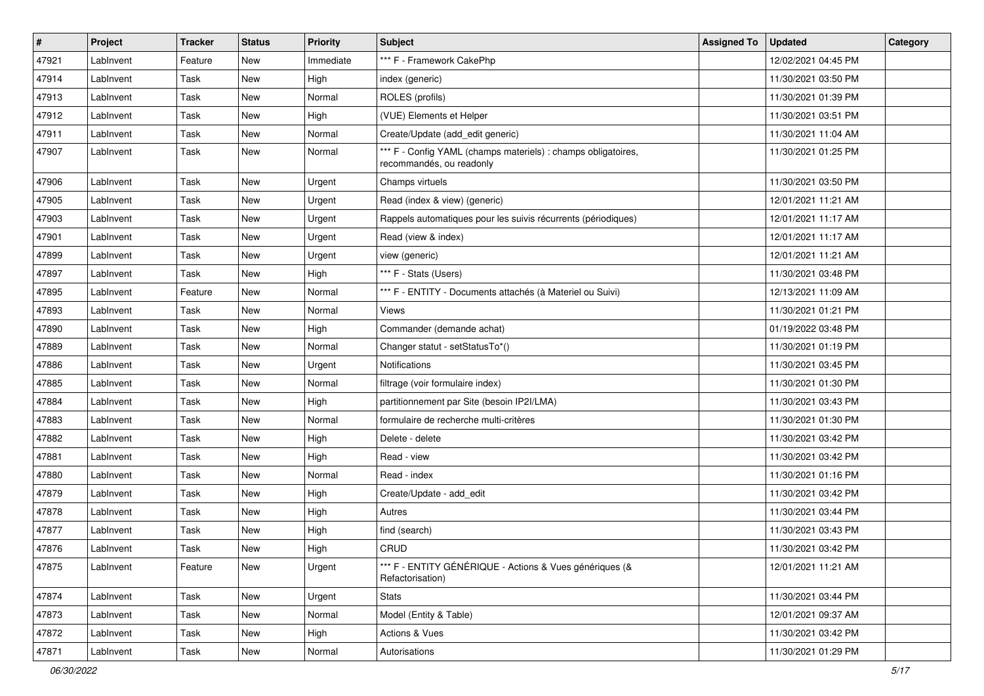| #     | Project   | <b>Tracker</b> | <b>Status</b> | <b>Priority</b> | <b>Subject</b>                                                                            | <b>Assigned To</b> | <b>Updated</b>      | Category |
|-------|-----------|----------------|---------------|-----------------|-------------------------------------------------------------------------------------------|--------------------|---------------------|----------|
| 47921 | LabInvent | Feature        | New           | Immediate       | *** F - Framework CakePhp                                                                 |                    | 12/02/2021 04:45 PM |          |
| 47914 | LabInvent | Task           | <b>New</b>    | High            | index (generic)                                                                           |                    | 11/30/2021 03:50 PM |          |
| 47913 | LabInvent | Task           | New           | Normal          | ROLES (profils)                                                                           |                    | 11/30/2021 01:39 PM |          |
| 47912 | LabInvent | Task           | <b>New</b>    | High            | (VUE) Elements et Helper                                                                  |                    | 11/30/2021 03:51 PM |          |
| 47911 | LabInvent | <b>Task</b>    | <b>New</b>    | Normal          | Create/Update (add_edit generic)                                                          |                    | 11/30/2021 11:04 AM |          |
| 47907 | LabInvent | Task           | <b>New</b>    | Normal          | *** F - Config YAML (champs materiels) : champs obligatoires,<br>recommandés, ou readonly |                    | 11/30/2021 01:25 PM |          |
| 47906 | LabInvent | Task           | <b>New</b>    | Urgent          | Champs virtuels                                                                           |                    | 11/30/2021 03:50 PM |          |
| 47905 | LabInvent | <b>Task</b>    | <b>New</b>    | Urgent          | Read (index & view) (generic)                                                             |                    | 12/01/2021 11:21 AM |          |
| 47903 | LabInvent | <b>Task</b>    | New           | Urgent          | Rappels automatiques pour les suivis récurrents (périodiques)                             |                    | 12/01/2021 11:17 AM |          |
| 47901 | LabInvent | Task           | <b>New</b>    | Urgent          | Read (view & index)                                                                       |                    | 12/01/2021 11:17 AM |          |
| 47899 | LabInvent | Task           | <b>New</b>    | Urgent          | view (generic)                                                                            |                    | 12/01/2021 11:21 AM |          |
| 47897 | LabInvent | Task           | New           | High            | *** F - Stats (Users)                                                                     |                    | 11/30/2021 03:48 PM |          |
| 47895 | LabInvent | Feature        | <b>New</b>    | Normal          | *** F - ENTITY - Documents attachés (à Materiel ou Suivi)                                 |                    | 12/13/2021 11:09 AM |          |
| 47893 | LabInvent | Task           | <b>New</b>    | Normal          | <b>Views</b>                                                                              |                    | 11/30/2021 01:21 PM |          |
| 47890 | LabInvent | Task           | <b>New</b>    | High            | Commander (demande achat)                                                                 |                    | 01/19/2022 03:48 PM |          |
| 47889 | LabInvent | Task           | <b>New</b>    | Normal          | Changer statut - setStatusTo*()                                                           |                    | 11/30/2021 01:19 PM |          |
| 47886 | LabInvent | <b>Task</b>    | <b>New</b>    | Urgent          | <b>Notifications</b>                                                                      |                    | 11/30/2021 03:45 PM |          |
| 47885 | LabInvent | Task           | <b>New</b>    | Normal          | filtrage (voir formulaire index)                                                          |                    | 11/30/2021 01:30 PM |          |
| 47884 | LabInvent | Task           | <b>New</b>    | High            | partitionnement par Site (besoin IP2I/LMA)                                                |                    | 11/30/2021 03:43 PM |          |
| 47883 | LabInvent | Task           | New           | Normal          | formulaire de recherche multi-critères                                                    |                    | 11/30/2021 01:30 PM |          |
| 47882 | LabInvent | <b>Task</b>    | New           | High            | Delete - delete                                                                           |                    | 11/30/2021 03:42 PM |          |
| 47881 | LabInvent | Task           | <b>New</b>    | High            | Read - view                                                                               |                    | 11/30/2021 03:42 PM |          |
| 47880 | LabInvent | Task           | <b>New</b>    | Normal          | Read - index                                                                              |                    | 11/30/2021 01:16 PM |          |
| 47879 | LabInvent | Task           | <b>New</b>    | High            | Create/Update - add edit                                                                  |                    | 11/30/2021 03:42 PM |          |
| 47878 | LabInvent | Task           | New           | High            | Autres                                                                                    |                    | 11/30/2021 03:44 PM |          |
| 47877 | LabInvent | Task           | <b>New</b>    | High            | find (search)                                                                             |                    | 11/30/2021 03:43 PM |          |
| 47876 | LabInvent | Task           | <b>New</b>    | High            | CRUD                                                                                      |                    | 11/30/2021 03:42 PM |          |
| 47875 | LabInvent | Feature        | New           | Urgent          | *** F - ENTITY GÉNÉRIQUE - Actions & Vues génériques (&<br>Refactorisation)               |                    | 12/01/2021 11:21 AM |          |
| 47874 | LabInvent | Task           | New           | Urgent          | <b>Stats</b>                                                                              |                    | 11/30/2021 03:44 PM |          |
| 47873 | LabInvent | Task           | New           | Normal          | Model (Entity & Table)                                                                    |                    | 12/01/2021 09:37 AM |          |
| 47872 | LabInvent | Task           | New           | High            | Actions & Vues                                                                            |                    | 11/30/2021 03:42 PM |          |
| 47871 | LabInvent | Task           | New           | Normal          | Autorisations                                                                             |                    | 11/30/2021 01:29 PM |          |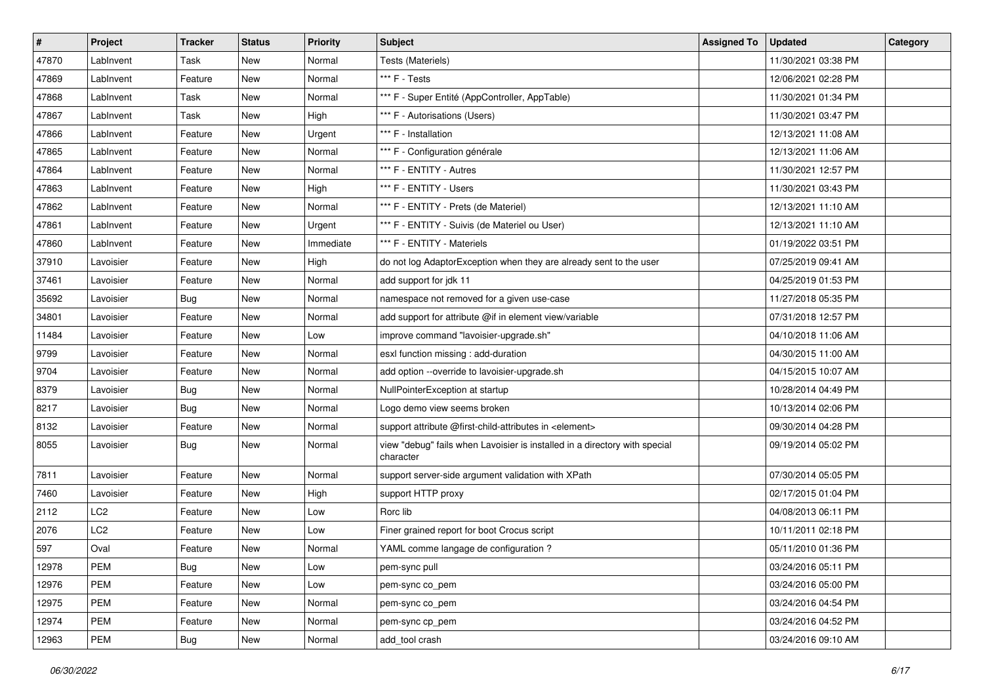| #     | Project         | <b>Tracker</b> | <b>Status</b> | <b>Priority</b> | Subject                                                                                 | <b>Assigned To</b> | <b>Updated</b>      | Category |
|-------|-----------------|----------------|---------------|-----------------|-----------------------------------------------------------------------------------------|--------------------|---------------------|----------|
| 47870 | LabInvent       | Task           | New           | Normal          | Tests (Materiels)                                                                       |                    | 11/30/2021 03:38 PM |          |
| 47869 | LabInvent       | Feature        | <b>New</b>    | Normal          | *** F - Tests                                                                           |                    | 12/06/2021 02:28 PM |          |
| 47868 | LabInvent       | Task           | New           | Normal          | *** F - Super Entité (AppController, AppTable)                                          |                    | 11/30/2021 01:34 PM |          |
| 47867 | LabInvent       | Task           | <b>New</b>    | High            | *** F - Autorisations (Users)                                                           |                    | 11/30/2021 03:47 PM |          |
| 47866 | LabInvent       | Feature        | <b>New</b>    | Urgent          | *** F - Installation                                                                    |                    | 12/13/2021 11:08 AM |          |
| 47865 | LabInvent       | Feature        | New           | Normal          | *** F - Configuration générale                                                          |                    | 12/13/2021 11:06 AM |          |
| 47864 | LabInvent       | Feature        | <b>New</b>    | Normal          | *** F - ENTITY - Autres                                                                 |                    | 11/30/2021 12:57 PM |          |
| 47863 | LabInvent       | Feature        | New           | High            | *** F - ENTITY - Users                                                                  |                    | 11/30/2021 03:43 PM |          |
| 47862 | LabInvent       | Feature        | New           | Normal          | *** F - ENTITY - Prets (de Materiel)                                                    |                    | 12/13/2021 11:10 AM |          |
| 47861 | LabInvent       | Feature        | <b>New</b>    | Urgent          | *** F - ENTITY - Suivis (de Materiel ou User)                                           |                    | 12/13/2021 11:10 AM |          |
| 47860 | LabInvent       | Feature        | New           | Immediate       | *** F - ENTITY - Materiels                                                              |                    | 01/19/2022 03:51 PM |          |
| 37910 | Lavoisier       | Feature        | New           | High            | do not log AdaptorException when they are already sent to the user                      |                    | 07/25/2019 09:41 AM |          |
| 37461 | Lavoisier       | Feature        | New           | Normal          | add support for jdk 11                                                                  |                    | 04/25/2019 01:53 PM |          |
| 35692 | Lavoisier       | Bug            | New           | Normal          | namespace not removed for a given use-case                                              |                    | 11/27/2018 05:35 PM |          |
| 34801 | Lavoisier       | Feature        | <b>New</b>    | Normal          | add support for attribute @if in element view/variable                                  |                    | 07/31/2018 12:57 PM |          |
| 11484 | Lavoisier       | Feature        | New           | Low             | improve command "lavoisier-upgrade.sh"                                                  |                    | 04/10/2018 11:06 AM |          |
| 9799  | Lavoisier       | Feature        | New           | Normal          | esxl function missing : add-duration                                                    |                    | 04/30/2015 11:00 AM |          |
| 9704  | Lavoisier       | Feature        | New           | Normal          | add option --override to lavoisier-upgrade.sh                                           |                    | 04/15/2015 10:07 AM |          |
| 8379  | Lavoisier       | <b>Bug</b>     | New           | Normal          | NullPointerException at startup                                                         |                    | 10/28/2014 04:49 PM |          |
| 8217  | Lavoisier       | <b>Bug</b>     | <b>New</b>    | Normal          | Logo demo view seems broken                                                             |                    | 10/13/2014 02:06 PM |          |
| 8132  | Lavoisier       | Feature        | New           | Normal          | support attribute @first-child-attributes in <element></element>                        |                    | 09/30/2014 04:28 PM |          |
| 8055  | Lavoisier       | Bug            | New           | Normal          | view "debug" fails when Lavoisier is installed in a directory with special<br>character |                    | 09/19/2014 05:02 PM |          |
| 7811  | Lavoisier       | Feature        | <b>New</b>    | Normal          | support server-side argument validation with XPath                                      |                    | 07/30/2014 05:05 PM |          |
| 7460  | Lavoisier       | Feature        | New           | High            | support HTTP proxy                                                                      |                    | 02/17/2015 01:04 PM |          |
| 2112  | LC <sub>2</sub> | Feature        | New           | Low             | Rorc lib                                                                                |                    | 04/08/2013 06:11 PM |          |
| 2076  | LC <sub>2</sub> | Feature        | New           | Low             | Finer grained report for boot Crocus script                                             |                    | 10/11/2011 02:18 PM |          |
| 597   | Oval            | Feature        | <b>New</b>    | Normal          | YAML comme langage de configuration ?                                                   |                    | 05/11/2010 01:36 PM |          |
| 12978 | PEM             | <b>Bug</b>     | New           | Low             | pem-sync pull                                                                           |                    | 03/24/2016 05:11 PM |          |
| 12976 | <b>PEM</b>      | Feature        | New           | Low             | pem-sync co_pem                                                                         |                    | 03/24/2016 05:00 PM |          |
| 12975 | PEM             | Feature        | New           | Normal          | pem-sync co_pem                                                                         |                    | 03/24/2016 04:54 PM |          |
| 12974 | PEM             | Feature        | New           | Normal          | pem-sync cp_pem                                                                         |                    | 03/24/2016 04:52 PM |          |
| 12963 | PEM             | <b>Bug</b>     | New           | Normal          | add tool crash                                                                          |                    | 03/24/2016 09:10 AM |          |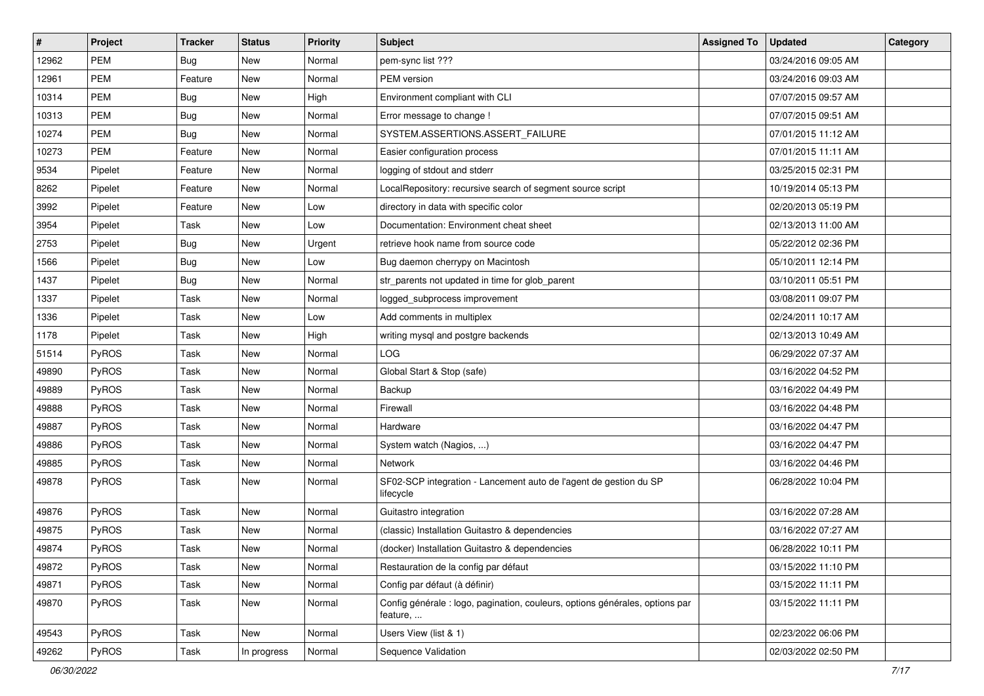| $\#$  | Project    | <b>Tracker</b> | <b>Status</b> | <b>Priority</b> | Subject                                                                                  | <b>Assigned To</b> | <b>Updated</b>      | Category |
|-------|------------|----------------|---------------|-----------------|------------------------------------------------------------------------------------------|--------------------|---------------------|----------|
| 12962 | <b>PEM</b> | Bug            | New           | Normal          | pem-sync list ???                                                                        |                    | 03/24/2016 09:05 AM |          |
| 12961 | <b>PEM</b> | Feature        | New           | Normal          | PEM version                                                                              |                    | 03/24/2016 09:03 AM |          |
| 10314 | <b>PEM</b> | Bug            | New           | High            | Environment compliant with CLI                                                           |                    | 07/07/2015 09:57 AM |          |
| 10313 | <b>PEM</b> | <b>Bug</b>     | <b>New</b>    | Normal          | Error message to change !                                                                |                    | 07/07/2015 09:51 AM |          |
| 10274 | <b>PEM</b> | <b>Bug</b>     | <b>New</b>    | Normal          | SYSTEM.ASSERTIONS.ASSERT_FAILURE                                                         |                    | 07/01/2015 11:12 AM |          |
| 10273 | PEM        | Feature        | New           | Normal          | Easier configuration process                                                             |                    | 07/01/2015 11:11 AM |          |
| 9534  | Pipelet    | Feature        | <b>New</b>    | Normal          | logging of stdout and stderr                                                             |                    | 03/25/2015 02:31 PM |          |
| 8262  | Pipelet    | Feature        | New           | Normal          | LocalRepository: recursive search of segment source script                               |                    | 10/19/2014 05:13 PM |          |
| 3992  | Pipelet    | Feature        | New           | Low             | directory in data with specific color                                                    |                    | 02/20/2013 05:19 PM |          |
| 3954  | Pipelet    | Task           | New           | Low             | Documentation: Environment cheat sheet                                                   |                    | 02/13/2013 11:00 AM |          |
| 2753  | Pipelet    | Bug            | New           | Urgent          | retrieve hook name from source code                                                      |                    | 05/22/2012 02:36 PM |          |
| 1566  | Pipelet    | Bug            | New           | Low             | Bug daemon cherrypy on Macintosh                                                         |                    | 05/10/2011 12:14 PM |          |
| 1437  | Pipelet    | Bug            | New           | Normal          | str_parents not updated in time for glob_parent                                          |                    | 03/10/2011 05:51 PM |          |
| 1337  | Pipelet    | Task           | <b>New</b>    | Normal          | logged_subprocess improvement                                                            |                    | 03/08/2011 09:07 PM |          |
| 1336  | Pipelet    | Task           | New           | Low             | Add comments in multiplex                                                                |                    | 02/24/2011 10:17 AM |          |
| 1178  | Pipelet    | Task           | New           | High            | writing mysql and postgre backends                                                       |                    | 02/13/2013 10:49 AM |          |
| 51514 | PyROS      | Task           | <b>New</b>    | Normal          | <b>LOG</b>                                                                               |                    | 06/29/2022 07:37 AM |          |
| 49890 | PyROS      | Task           | New           | Normal          | Global Start & Stop (safe)                                                               |                    | 03/16/2022 04:52 PM |          |
| 49889 | PyROS      | Task           | New           | Normal          | Backup                                                                                   |                    | 03/16/2022 04:49 PM |          |
| 49888 | PyROS      | Task           | <b>New</b>    | Normal          | Firewall                                                                                 |                    | 03/16/2022 04:48 PM |          |
| 49887 | PyROS      | Task           | New           | Normal          | Hardware                                                                                 |                    | 03/16/2022 04:47 PM |          |
| 49886 | PyROS      | Task           | New           | Normal          | System watch (Nagios, )                                                                  |                    | 03/16/2022 04:47 PM |          |
| 49885 | PyROS      | Task           | New           | Normal          | Network                                                                                  |                    | 03/16/2022 04:46 PM |          |
| 49878 | PyROS      | Task           | New           | Normal          | SF02-SCP integration - Lancement auto de l'agent de gestion du SP<br>lifecycle           |                    | 06/28/2022 10:04 PM |          |
| 49876 | PyROS      | Task           | New           | Normal          | Guitastro integration                                                                    |                    | 03/16/2022 07:28 AM |          |
| 49875 | PyROS      | Task           | <b>New</b>    | Normal          | (classic) Installation Guitastro & dependencies                                          |                    | 03/16/2022 07:27 AM |          |
| 49874 | PyROS      | Task           | New           | Normal          | (docker) Installation Guitastro & dependencies                                           |                    | 06/28/2022 10:11 PM |          |
| 49872 | PyROS      | Task           | New           | Normal          | Restauration de la config par défaut                                                     |                    | 03/15/2022 11:10 PM |          |
| 49871 | PyROS      | Task           | New           | Normal          | Config par défaut (à définir)                                                            |                    | 03/15/2022 11:11 PM |          |
| 49870 | PyROS      | Task           | New           | Normal          | Config générale : logo, pagination, couleurs, options générales, options par<br>feature, |                    | 03/15/2022 11:11 PM |          |
| 49543 | PyROS      | Task           | New           | Normal          | Users View (list & 1)                                                                    |                    | 02/23/2022 06:06 PM |          |
| 49262 | PyROS      | Task           | In progress   | Normal          | Sequence Validation                                                                      |                    | 02/03/2022 02:50 PM |          |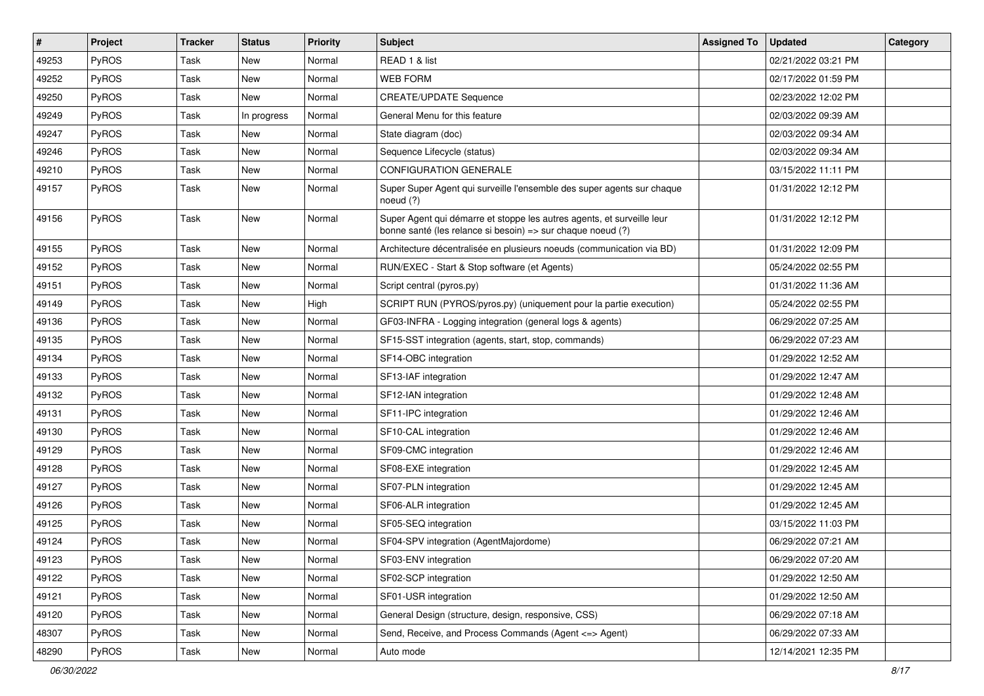| #     | Project      | Tracker | <b>Status</b> | <b>Priority</b> | Subject                                                                                                                               | <b>Assigned To</b> | <b>Updated</b>      | Category |
|-------|--------------|---------|---------------|-----------------|---------------------------------------------------------------------------------------------------------------------------------------|--------------------|---------------------|----------|
| 49253 | PyROS        | Task    | New           | Normal          | READ 1 & list                                                                                                                         |                    | 02/21/2022 03:21 PM |          |
| 49252 | PyROS        | Task    | New           | Normal          | <b>WEB FORM</b>                                                                                                                       |                    | 02/17/2022 01:59 PM |          |
| 49250 | PyROS        | Task    | New           | Normal          | <b>CREATE/UPDATE Sequence</b>                                                                                                         |                    | 02/23/2022 12:02 PM |          |
| 49249 | PyROS        | Task    | In progress   | Normal          | General Menu for this feature                                                                                                         |                    | 02/03/2022 09:39 AM |          |
| 49247 | PyROS        | Task    | New           | Normal          | State diagram (doc)                                                                                                                   |                    | 02/03/2022 09:34 AM |          |
| 49246 | PyROS        | Task    | New           | Normal          | Sequence Lifecycle (status)                                                                                                           |                    | 02/03/2022 09:34 AM |          |
| 49210 | PyROS        | Task    | <b>New</b>    | Normal          | <b>CONFIGURATION GENERALE</b>                                                                                                         |                    | 03/15/2022 11:11 PM |          |
| 49157 | <b>PyROS</b> | Task    | New           | Normal          | Super Super Agent qui surveille l'ensemble des super agents sur chaque<br>noeud (?)                                                   |                    | 01/31/2022 12:12 PM |          |
| 49156 | PyROS        | Task    | New           | Normal          | Super Agent qui démarre et stoppe les autres agents, et surveille leur<br>bonne santé (les relance si besoin) => sur chaque noeud (?) |                    | 01/31/2022 12:12 PM |          |
| 49155 | PyROS        | Task    | New           | Normal          | Architecture décentralisée en plusieurs noeuds (communication via BD)                                                                 |                    | 01/31/2022 12:09 PM |          |
| 49152 | PyROS        | Task    | New           | Normal          | RUN/EXEC - Start & Stop software (et Agents)                                                                                          |                    | 05/24/2022 02:55 PM |          |
| 49151 | PyROS        | Task    | New           | Normal          | Script central (pyros.py)                                                                                                             |                    | 01/31/2022 11:36 AM |          |
| 49149 | PyROS        | Task    | New           | High            | SCRIPT RUN (PYROS/pyros.py) (uniquement pour la partie execution)                                                                     |                    | 05/24/2022 02:55 PM |          |
| 49136 | PyROS        | Task    | New           | Normal          | GF03-INFRA - Logging integration (general logs & agents)                                                                              |                    | 06/29/2022 07:25 AM |          |
| 49135 | PyROS        | Task    | New           | Normal          | SF15-SST integration (agents, start, stop, commands)                                                                                  |                    | 06/29/2022 07:23 AM |          |
| 49134 | PyROS        | Task    | New           | Normal          | SF14-OBC integration                                                                                                                  |                    | 01/29/2022 12:52 AM |          |
| 49133 | PyROS        | Task    | New           | Normal          | SF13-IAF integration                                                                                                                  |                    | 01/29/2022 12:47 AM |          |
| 49132 | PyROS        | Task    | New           | Normal          | SF12-IAN integration                                                                                                                  |                    | 01/29/2022 12:48 AM |          |
| 49131 | PyROS        | Task    | New           | Normal          | SF11-IPC integration                                                                                                                  |                    | 01/29/2022 12:46 AM |          |
| 49130 | PyROS        | Task    | New           | Normal          | SF10-CAL integration                                                                                                                  |                    | 01/29/2022 12:46 AM |          |
| 49129 | PyROS        | Task    | New           | Normal          | SF09-CMC integration                                                                                                                  |                    | 01/29/2022 12:46 AM |          |
| 49128 | PyROS        | Task    | New           | Normal          | SF08-EXE integration                                                                                                                  |                    | 01/29/2022 12:45 AM |          |
| 49127 | PyROS        | Task    | New           | Normal          | SF07-PLN integration                                                                                                                  |                    | 01/29/2022 12:45 AM |          |
| 49126 | PyROS        | Task    | <b>New</b>    | Normal          | SF06-ALR integration                                                                                                                  |                    | 01/29/2022 12:45 AM |          |
| 49125 | PyROS        | Task    | New           | Normal          | SF05-SEQ integration                                                                                                                  |                    | 03/15/2022 11:03 PM |          |
| 49124 | PyROS        | Task    | New           | Normal          | SF04-SPV integration (AgentMajordome)                                                                                                 |                    | 06/29/2022 07:21 AM |          |
| 49123 | PyROS        | Task    | New           | Normal          | SF03-ENV integration                                                                                                                  |                    | 06/29/2022 07:20 AM |          |
| 49122 | PyROS        | Task    | New           | Normal          | SF02-SCP integration                                                                                                                  |                    | 01/29/2022 12:50 AM |          |
| 49121 | PyROS        | Task    | New           | Normal          | SF01-USR integration                                                                                                                  |                    | 01/29/2022 12:50 AM |          |
| 49120 | PyROS        | Task    | New           | Normal          | General Design (structure, design, responsive, CSS)                                                                                   |                    | 06/29/2022 07:18 AM |          |
| 48307 | PyROS        | Task    | New           | Normal          | Send, Receive, and Process Commands (Agent <= > Agent)                                                                                |                    | 06/29/2022 07:33 AM |          |
| 48290 | PyROS        | Task    | New           | Normal          | Auto mode                                                                                                                             |                    | 12/14/2021 12:35 PM |          |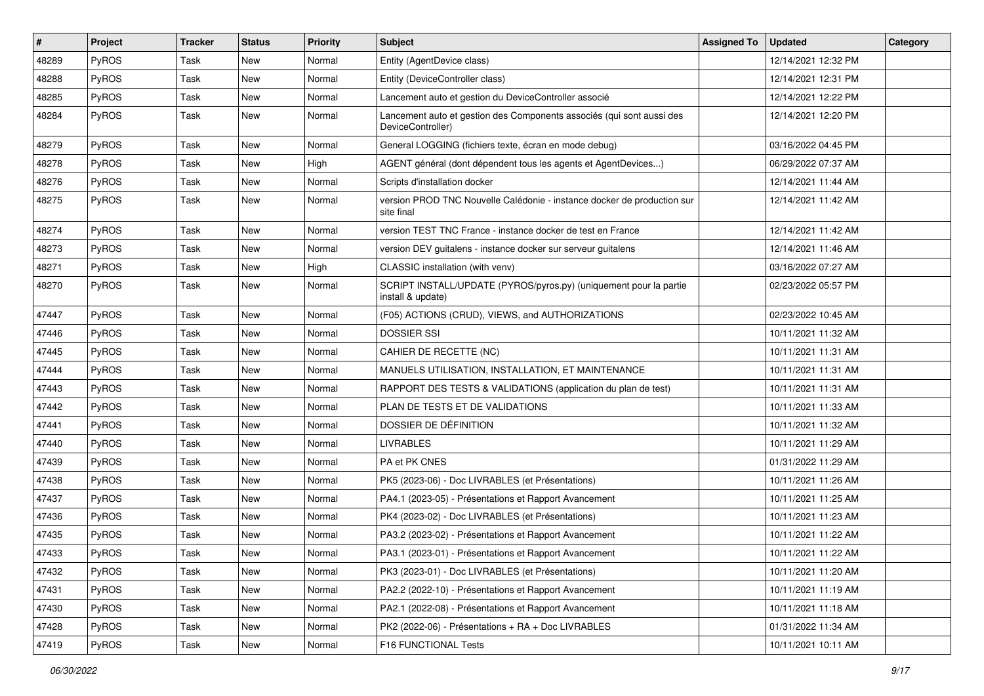| #     | <b>Project</b> | <b>Tracker</b> | <b>Status</b> | <b>Priority</b> | Subject                                                                                    | <b>Assigned To</b> | <b>Updated</b>      | Category |
|-------|----------------|----------------|---------------|-----------------|--------------------------------------------------------------------------------------------|--------------------|---------------------|----------|
| 48289 | PyROS          | Task           | New           | Normal          | Entity (AgentDevice class)                                                                 |                    | 12/14/2021 12:32 PM |          |
| 48288 | PyROS          | Task           | New           | Normal          | Entity (DeviceController class)                                                            |                    | 12/14/2021 12:31 PM |          |
| 48285 | <b>PyROS</b>   | Task           | New           | Normal          | Lancement auto et gestion du DeviceController associé                                      |                    | 12/14/2021 12:22 PM |          |
| 48284 | PyROS          | Task           | New           | Normal          | Lancement auto et gestion des Components associés (qui sont aussi des<br>DeviceController) |                    | 12/14/2021 12:20 PM |          |
| 48279 | PyROS          | Task           | New           | Normal          | General LOGGING (fichiers texte, écran en mode debug)                                      |                    | 03/16/2022 04:45 PM |          |
| 48278 | PyROS          | Task           | New           | High            | AGENT général (dont dépendent tous les agents et AgentDevices)                             |                    | 06/29/2022 07:37 AM |          |
| 48276 | PyROS          | Task           | New           | Normal          | Scripts d'installation docker                                                              |                    | 12/14/2021 11:44 AM |          |
| 48275 | PyROS          | Task           | New           | Normal          | version PROD TNC Nouvelle Calédonie - instance docker de production sur<br>site final      |                    | 12/14/2021 11:42 AM |          |
| 48274 | PyROS          | Task           | New           | Normal          | version TEST TNC France - instance docker de test en France                                |                    | 12/14/2021 11:42 AM |          |
| 48273 | PyROS          | Task           | New           | Normal          | version DEV guitalens - instance docker sur serveur guitalens                              |                    | 12/14/2021 11:46 AM |          |
| 48271 | <b>PyROS</b>   | Task           | New           | High            | CLASSIC installation (with venv)                                                           |                    | 03/16/2022 07:27 AM |          |
| 48270 | PyROS          | Task           | New           | Normal          | SCRIPT INSTALL/UPDATE (PYROS/pyros.py) (uniquement pour la partie<br>install & update)     |                    | 02/23/2022 05:57 PM |          |
| 47447 | PyROS          | Task           | New           | Normal          | (F05) ACTIONS (CRUD), VIEWS, and AUTHORIZATIONS                                            |                    | 02/23/2022 10:45 AM |          |
| 47446 | PyROS          | Task           | New           | Normal          | <b>DOSSIER SSI</b>                                                                         |                    | 10/11/2021 11:32 AM |          |
| 47445 | PyROS          | Task           | New           | Normal          | CAHIER DE RECETTE (NC)                                                                     |                    | 10/11/2021 11:31 AM |          |
| 47444 | <b>PyROS</b>   | Task           | New           | Normal          | MANUELS UTILISATION, INSTALLATION, ET MAINTENANCE                                          |                    | 10/11/2021 11:31 AM |          |
| 47443 | PyROS          | Task           | New           | Normal          | RAPPORT DES TESTS & VALIDATIONS (application du plan de test)                              |                    | 10/11/2021 11:31 AM |          |
| 47442 | <b>PyROS</b>   | Task           | New           | Normal          | PLAN DE TESTS ET DE VALIDATIONS                                                            |                    | 10/11/2021 11:33 AM |          |
| 47441 | <b>PyROS</b>   | Task           | New           | Normal          | DOSSIER DE DÉFINITION                                                                      |                    | 10/11/2021 11:32 AM |          |
| 47440 | PyROS          | Task           | New           | Normal          | <b>LIVRABLES</b>                                                                           |                    | 10/11/2021 11:29 AM |          |
| 47439 | <b>PyROS</b>   | Task           | New           | Normal          | PA et PK CNES                                                                              |                    | 01/31/2022 11:29 AM |          |
| 47438 | PyROS          | Task           | New           | Normal          | PK5 (2023-06) - Doc LIVRABLES (et Présentations)                                           |                    | 10/11/2021 11:26 AM |          |
| 47437 | <b>PyROS</b>   | Task           | New           | Normal          | PA4.1 (2023-05) - Présentations et Rapport Avancement                                      |                    | 10/11/2021 11:25 AM |          |
| 47436 | PyROS          | Task           | New           | Normal          | PK4 (2023-02) - Doc LIVRABLES (et Présentations)                                           |                    | 10/11/2021 11:23 AM |          |
| 47435 | PyROS          | Task           | New           | Normal          | PA3.2 (2023-02) - Présentations et Rapport Avancement                                      |                    | 10/11/2021 11:22 AM |          |
| 47433 | PyROS          | Task           | New           | Normal          | PA3.1 (2023-01) - Présentations et Rapport Avancement                                      |                    | 10/11/2021 11:22 AM |          |
| 47432 | <b>PyROS</b>   | Task           | New           | Normal          | PK3 (2023-01) - Doc LIVRABLES (et Présentations)                                           |                    | 10/11/2021 11:20 AM |          |
| 47431 | PyROS          | Task           | New           | Normal          | PA2.2 (2022-10) - Présentations et Rapport Avancement                                      |                    | 10/11/2021 11:19 AM |          |
| 47430 | PyROS          | Task           | New           | Normal          | PA2.1 (2022-08) - Présentations et Rapport Avancement                                      |                    | 10/11/2021 11:18 AM |          |
| 47428 | PyROS          | Task           | New           | Normal          | PK2 (2022-06) - Présentations + RA + Doc LIVRABLES                                         |                    | 01/31/2022 11:34 AM |          |
| 47419 | PyROS          | Task           | New           | Normal          | F16 FUNCTIONAL Tests                                                                       |                    | 10/11/2021 10:11 AM |          |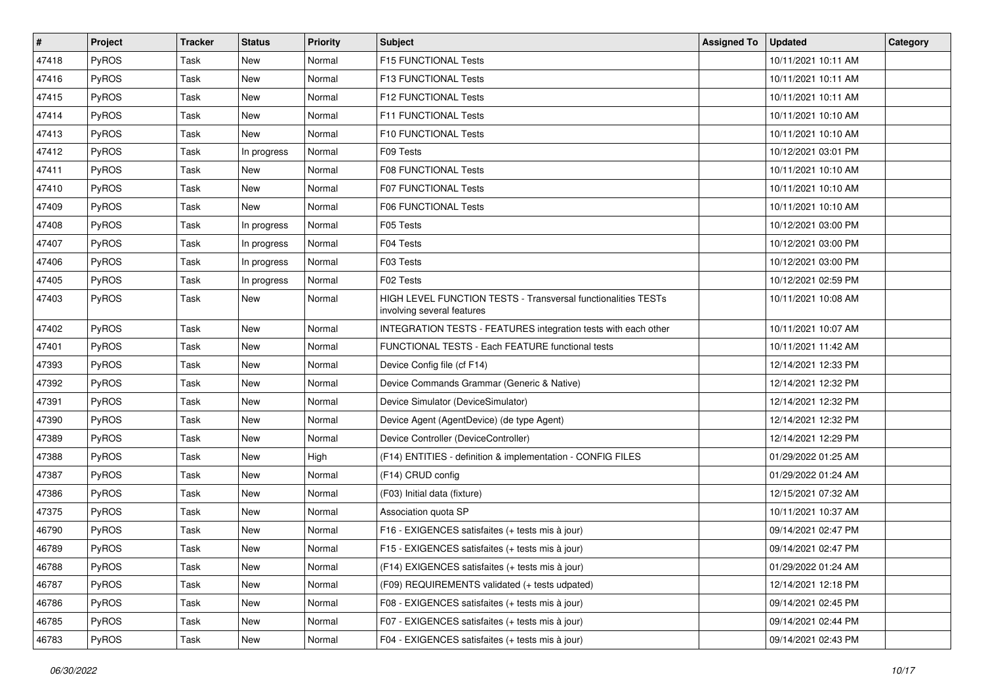| #     | Project | <b>Tracker</b> | <b>Status</b> | <b>Priority</b> | <b>Subject</b>                                                                              | <b>Assigned To</b> | <b>Updated</b>      | Category |
|-------|---------|----------------|---------------|-----------------|---------------------------------------------------------------------------------------------|--------------------|---------------------|----------|
| 47418 | PyROS   | Task           | <b>New</b>    | Normal          | F15 FUNCTIONAL Tests                                                                        |                    | 10/11/2021 10:11 AM |          |
| 47416 | PyROS   | <b>Task</b>    | New           | Normal          | F13 FUNCTIONAL Tests                                                                        |                    | 10/11/2021 10:11 AM |          |
| 47415 | PyROS   | Task           | New           | Normal          | F12 FUNCTIONAL Tests                                                                        |                    | 10/11/2021 10:11 AM |          |
| 47414 | PyROS   | Task           | <b>New</b>    | Normal          | F11 FUNCTIONAL Tests                                                                        |                    | 10/11/2021 10:10 AM |          |
| 47413 | PyROS   | <b>Task</b>    | <b>New</b>    | Normal          | F10 FUNCTIONAL Tests                                                                        |                    | 10/11/2021 10:10 AM |          |
| 47412 | PyROS   | Task           | In progress   | Normal          | F09 Tests                                                                                   |                    | 10/12/2021 03:01 PM |          |
| 47411 | PyROS   | <b>Task</b>    | <b>New</b>    | Normal          | F08 FUNCTIONAL Tests                                                                        |                    | 10/11/2021 10:10 AM |          |
| 47410 | PyROS   | Task           | New           | Normal          | F07 FUNCTIONAL Tests                                                                        |                    | 10/11/2021 10:10 AM |          |
| 47409 | PyROS   | <b>Task</b>    | <b>New</b>    | Normal          | <b>F06 FUNCTIONAL Tests</b>                                                                 |                    | 10/11/2021 10:10 AM |          |
| 47408 | PyROS   | <b>Task</b>    | In progress   | Normal          | F05 Tests                                                                                   |                    | 10/12/2021 03:00 PM |          |
| 47407 | PyROS   | Task           | In progress   | Normal          | F04 Tests                                                                                   |                    | 10/12/2021 03:00 PM |          |
| 47406 | PyROS   | Task           | In progress   | Normal          | F03 Tests                                                                                   |                    | 10/12/2021 03:00 PM |          |
| 47405 | PyROS   | Task           | In progress   | Normal          | F02 Tests                                                                                   |                    | 10/12/2021 02:59 PM |          |
| 47403 | PyROS   | Task           | New           | Normal          | HIGH LEVEL FUNCTION TESTS - Transversal functionalities TESTs<br>involving several features |                    | 10/11/2021 10:08 AM |          |
| 47402 | PyROS   | Task           | New           | Normal          | INTEGRATION TESTS - FEATURES integration tests with each other                              |                    | 10/11/2021 10:07 AM |          |
| 47401 | PyROS   | Task           | <b>New</b>    | Normal          | FUNCTIONAL TESTS - Each FEATURE functional tests                                            |                    | 10/11/2021 11:42 AM |          |
| 47393 | PyROS   | <b>Task</b>    | New           | Normal          | Device Config file (cf F14)                                                                 |                    | 12/14/2021 12:33 PM |          |
| 47392 | PyROS   | Task           | <b>New</b>    | Normal          | Device Commands Grammar (Generic & Native)                                                  |                    | 12/14/2021 12:32 PM |          |
| 47391 | PyROS   | <b>Task</b>    | <b>New</b>    | Normal          | Device Simulator (DeviceSimulator)                                                          |                    | 12/14/2021 12:32 PM |          |
| 47390 | PyROS   | Task           | New           | Normal          | Device Agent (AgentDevice) (de type Agent)                                                  |                    | 12/14/2021 12:32 PM |          |
| 47389 | PyROS   | Task           | New           | Normal          | Device Controller (DeviceController)                                                        |                    | 12/14/2021 12:29 PM |          |
| 47388 | PyROS   | <b>Task</b>    | <b>New</b>    | High            | (F14) ENTITIES - definition & implementation - CONFIG FILES                                 |                    | 01/29/2022 01:25 AM |          |
| 47387 | PyROS   | Task           | <b>New</b>    | Normal          | (F14) CRUD config                                                                           |                    | 01/29/2022 01:24 AM |          |
| 47386 | PyROS   | Task           | <b>New</b>    | Normal          | (F03) Initial data (fixture)                                                                |                    | 12/15/2021 07:32 AM |          |
| 47375 | PyROS   | <b>Task</b>    | <b>New</b>    | Normal          | Association quota SP                                                                        |                    | 10/11/2021 10:37 AM |          |
| 46790 | PyROS   | Task           | <b>New</b>    | Normal          | F16 - EXIGENCES satisfaites (+ tests mis à jour)                                            |                    | 09/14/2021 02:47 PM |          |
| 46789 | PyROS   | Task           | <b>New</b>    | Normal          | F15 - EXIGENCES satisfaites (+ tests mis à jour)                                            |                    | 09/14/2021 02:47 PM |          |
| 46788 | PyROS   | Task           | New           | Normal          | (F14) EXIGENCES satisfaites (+ tests mis à jour)                                            |                    | 01/29/2022 01:24 AM |          |
| 46787 | PyROS   | Task           | New           | Normal          | (F09) REQUIREMENTS validated (+ tests udpated)                                              |                    | 12/14/2021 12:18 PM |          |
| 46786 | PyROS   | Task           | New           | Normal          | F08 - EXIGENCES satisfaites (+ tests mis à jour)                                            |                    | 09/14/2021 02:45 PM |          |
| 46785 | PyROS   | Task           | New           | Normal          | F07 - EXIGENCES satisfaites (+ tests mis à jour)                                            |                    | 09/14/2021 02:44 PM |          |
| 46783 | PyROS   | Task           | New           | Normal          | F04 - EXIGENCES satisfaites (+ tests mis à jour)                                            |                    | 09/14/2021 02:43 PM |          |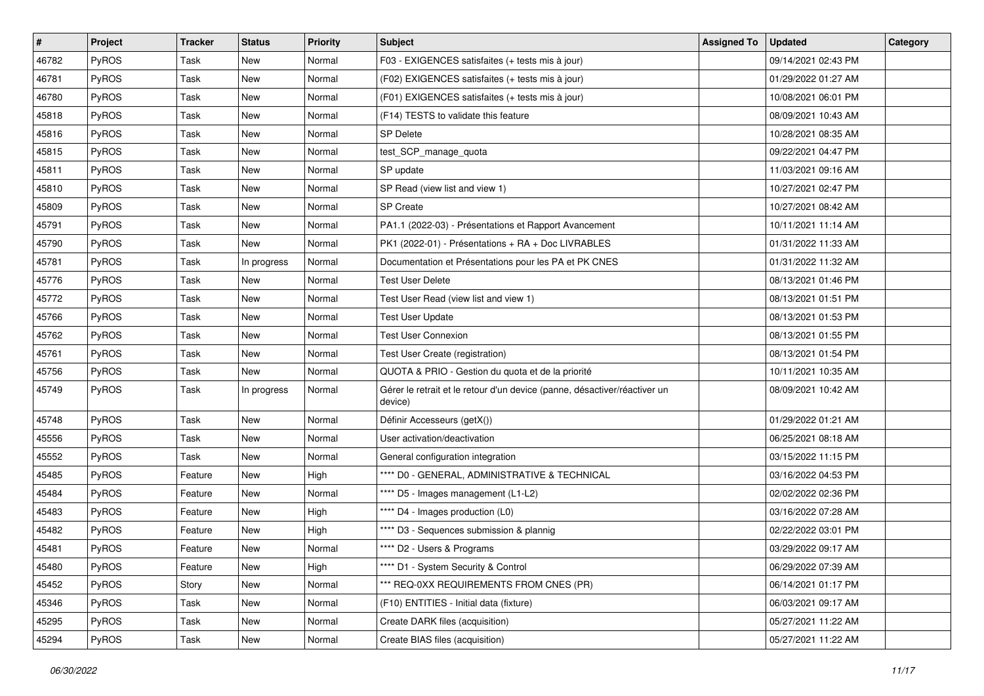| $\vert$ # | Project      | <b>Tracker</b> | <b>Status</b> | <b>Priority</b> | <b>Subject</b>                                                                       | <b>Assigned To</b> | <b>Updated</b>      | Category |
|-----------|--------------|----------------|---------------|-----------------|--------------------------------------------------------------------------------------|--------------------|---------------------|----------|
| 46782     | PyROS        | Task           | New           | Normal          | F03 - EXIGENCES satisfaites (+ tests mis à jour)                                     |                    | 09/14/2021 02:43 PM |          |
| 46781     | PyROS        | Task           | New           | Normal          | (F02) EXIGENCES satisfaites (+ tests mis à jour)                                     |                    | 01/29/2022 01:27 AM |          |
| 46780     | <b>PyROS</b> | Task           | New           | Normal          | (F01) EXIGENCES satisfaites (+ tests mis à jour)                                     |                    | 10/08/2021 06:01 PM |          |
| 45818     | PyROS        | Task           | <b>New</b>    | Normal          | (F14) TESTS to validate this feature                                                 |                    | 08/09/2021 10:43 AM |          |
| 45816     | PyROS        | Task           | New           | Normal          | <b>SP Delete</b>                                                                     |                    | 10/28/2021 08:35 AM |          |
| 45815     | PyROS        | Task           | New           | Normal          | test_SCP_manage_quota                                                                |                    | 09/22/2021 04:47 PM |          |
| 45811     | PyROS        | Task           | <b>New</b>    | Normal          | SP update                                                                            |                    | 11/03/2021 09:16 AM |          |
| 45810     | PyROS        | Task           | New           | Normal          | SP Read (view list and view 1)                                                       |                    | 10/27/2021 02:47 PM |          |
| 45809     | PyROS        | Task           | New           | Normal          | SP Create                                                                            |                    | 10/27/2021 08:42 AM |          |
| 45791     | PyROS        | Task           | New           | Normal          | PA1.1 (2022-03) - Présentations et Rapport Avancement                                |                    | 10/11/2021 11:14 AM |          |
| 45790     | <b>PyROS</b> | Task           | New           | Normal          | PK1 (2022-01) - Présentations + RA + Doc LIVRABLES                                   |                    | 01/31/2022 11:33 AM |          |
| 45781     | PyROS        | Task           | In progress   | Normal          | Documentation et Présentations pour les PA et PK CNES                                |                    | 01/31/2022 11:32 AM |          |
| 45776     | PyROS        | Task           | New           | Normal          | <b>Test User Delete</b>                                                              |                    | 08/13/2021 01:46 PM |          |
| 45772     | PyROS        | Task           | New           | Normal          | Test User Read (view list and view 1)                                                |                    | 08/13/2021 01:51 PM |          |
| 45766     | PyROS        | Task           | New           | Normal          | <b>Test User Update</b>                                                              |                    | 08/13/2021 01:53 PM |          |
| 45762     | <b>PyROS</b> | Task           | New           | Normal          | <b>Test User Connexion</b>                                                           |                    | 08/13/2021 01:55 PM |          |
| 45761     | PyROS        | Task           | New           | Normal          | Test User Create (registration)                                                      |                    | 08/13/2021 01:54 PM |          |
| 45756     | PyROS        | Task           | New           | Normal          | QUOTA & PRIO - Gestion du quota et de la priorité                                    |                    | 10/11/2021 10:35 AM |          |
| 45749     | PyROS        | Task           | In progress   | Normal          | Gérer le retrait et le retour d'un device (panne, désactiver/réactiver un<br>device) |                    | 08/09/2021 10:42 AM |          |
| 45748     | PyROS        | Task           | New           | Normal          | Définir Accesseurs (getX())                                                          |                    | 01/29/2022 01:21 AM |          |
| 45556     | PyROS        | Task           | New           | Normal          | User activation/deactivation                                                         |                    | 06/25/2021 08:18 AM |          |
| 45552     | PyROS        | Task           | New           | Normal          | General configuration integration                                                    |                    | 03/15/2022 11:15 PM |          |
| 45485     | <b>PyROS</b> | Feature        | New           | High            | **** D0 - GENERAL, ADMINISTRATIVE & TECHNICAL                                        |                    | 03/16/2022 04:53 PM |          |
| 45484     | PyROS        | Feature        | New           | Normal          | **** D5 - Images management (L1-L2)                                                  |                    | 02/02/2022 02:36 PM |          |
| 45483     | PyROS        | Feature        | New           | High            | **** D4 - Images production (L0)                                                     |                    | 03/16/2022 07:28 AM |          |
| 45482     | PyROS        | Feature        | New           | High            | **** D3 - Sequences submission & plannig                                             |                    | 02/22/2022 03:01 PM |          |
| 45481     | PyROS        | Feature        | New           | Normal          | **** D2 - Users & Programs                                                           |                    | 03/29/2022 09:17 AM |          |
| 45480     | PyROS        | Feature        | New           | High            | **** D1 - System Security & Control                                                  |                    | 06/29/2022 07:39 AM |          |
| 45452     | PyROS        | Story          | New           | Normal          | *** REQ-0XX REQUIREMENTS FROM CNES (PR)                                              |                    | 06/14/2021 01:17 PM |          |
| 45346     | PyROS        | Task           | New           | Normal          | (F10) ENTITIES - Initial data (fixture)                                              |                    | 06/03/2021 09:17 AM |          |
| 45295     | PyROS        | Task           | New           | Normal          | Create DARK files (acquisition)                                                      |                    | 05/27/2021 11:22 AM |          |
| 45294     | PyROS        | Task           | New           | Normal          | Create BIAS files (acquisition)                                                      |                    | 05/27/2021 11:22 AM |          |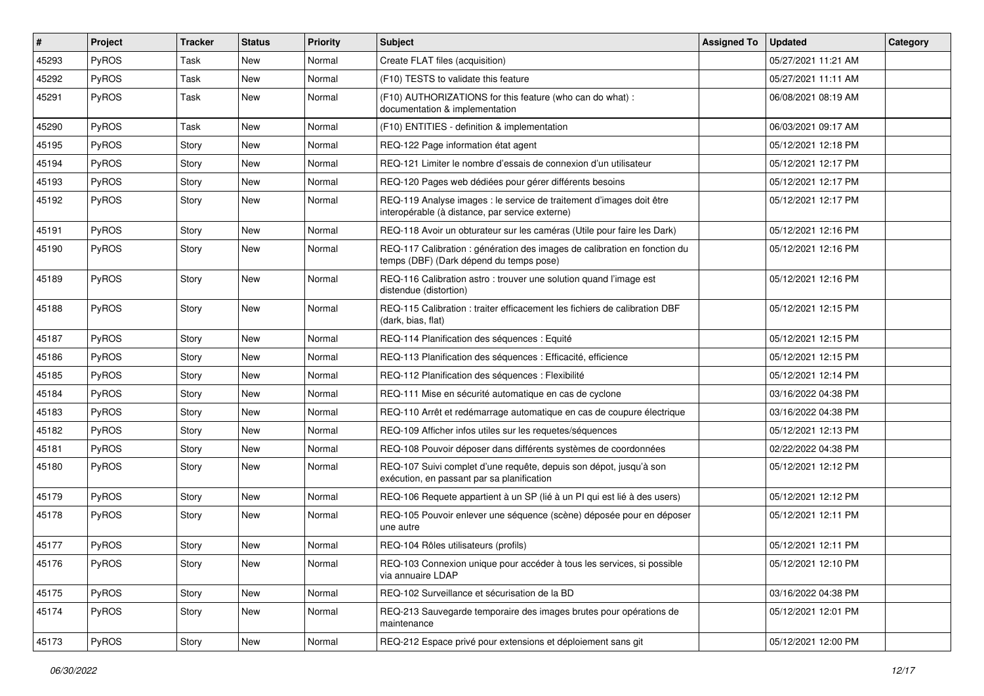| #     | Project | <b>Tracker</b> | <b>Status</b> | <b>Priority</b> | Subject                                                                                                                 | <b>Assigned To</b> | <b>Updated</b>      | Category |
|-------|---------|----------------|---------------|-----------------|-------------------------------------------------------------------------------------------------------------------------|--------------------|---------------------|----------|
| 45293 | PyROS   | Task           | <b>New</b>    | Normal          | Create FLAT files (acquisition)                                                                                         |                    | 05/27/2021 11:21 AM |          |
| 45292 | PyROS   | Task           | New           | Normal          | (F10) TESTS to validate this feature                                                                                    |                    | 05/27/2021 11:11 AM |          |
| 45291 | PyROS   | Task           | <b>New</b>    | Normal          | (F10) AUTHORIZATIONS for this feature (who can do what) :<br>documentation & implementation                             |                    | 06/08/2021 08:19 AM |          |
| 45290 | PyROS   | Task           | <b>New</b>    | Normal          | (F10) ENTITIES - definition & implementation                                                                            |                    | 06/03/2021 09:17 AM |          |
| 45195 | PyROS   | Story          | <b>New</b>    | Normal          | REQ-122 Page information état agent                                                                                     |                    | 05/12/2021 12:18 PM |          |
| 45194 | PyROS   | Story          | <b>New</b>    | Normal          | REQ-121 Limiter le nombre d'essais de connexion d'un utilisateur                                                        |                    | 05/12/2021 12:17 PM |          |
| 45193 | PyROS   | Story          | New           | Normal          | REQ-120 Pages web dédiées pour gérer différents besoins                                                                 |                    | 05/12/2021 12:17 PM |          |
| 45192 | PyROS   | Story          | New           | Normal          | REQ-119 Analyse images : le service de traitement d'images doit être<br>interopérable (à distance, par service externe) |                    | 05/12/2021 12:17 PM |          |
| 45191 | PyROS   | Story          | <b>New</b>    | Normal          | REQ-118 Avoir un obturateur sur les caméras (Utile pour faire les Dark)                                                 |                    | 05/12/2021 12:16 PM |          |
| 45190 | PyROS   | Story          | New           | Normal          | REQ-117 Calibration : génération des images de calibration en fonction du<br>temps (DBF) (Dark dépend du temps pose)    |                    | 05/12/2021 12:16 PM |          |
| 45189 | PyROS   | Story          | <b>New</b>    | Normal          | REQ-116 Calibration astro: trouver une solution quand l'image est<br>distendue (distortion)                             |                    | 05/12/2021 12:16 PM |          |
| 45188 | PyROS   | Story          | <b>New</b>    | Normal          | REQ-115 Calibration : traiter efficacement les fichiers de calibration DBF<br>(dark, bias, flat)                        |                    | 05/12/2021 12:15 PM |          |
| 45187 | PyROS   | Story          | <b>New</b>    | Normal          | REQ-114 Planification des séquences : Equité                                                                            |                    | 05/12/2021 12:15 PM |          |
| 45186 | PyROS   | Story          | <b>New</b>    | Normal          | REQ-113 Planification des séquences : Efficacité, efficience                                                            |                    | 05/12/2021 12:15 PM |          |
| 45185 | PyROS   | Story          | <b>New</b>    | Normal          | REQ-112 Planification des séquences : Flexibilité                                                                       |                    | 05/12/2021 12:14 PM |          |
| 45184 | PyROS   | Story          | <b>New</b>    | Normal          | REQ-111 Mise en sécurité automatique en cas de cyclone                                                                  |                    | 03/16/2022 04:38 PM |          |
| 45183 | PyROS   | Story          | <b>New</b>    | Normal          | REQ-110 Arrêt et redémarrage automatique en cas de coupure électrique                                                   |                    | 03/16/2022 04:38 PM |          |
| 45182 | PyROS   | Story          | <b>New</b>    | Normal          | REQ-109 Afficher infos utiles sur les requetes/séquences                                                                |                    | 05/12/2021 12:13 PM |          |
| 45181 | PyROS   | Story          | New           | Normal          | REQ-108 Pouvoir déposer dans différents systèmes de coordonnées                                                         |                    | 02/22/2022 04:38 PM |          |
| 45180 | PyROS   | Story          | New           | Normal          | REQ-107 Suivi complet d'une requête, depuis son dépot, jusqu'à son<br>exécution, en passant par sa planification        |                    | 05/12/2021 12:12 PM |          |
| 45179 | PyROS   | Story          | <b>New</b>    | Normal          | REQ-106 Requete appartient à un SP (lié à un PI qui est lié à des users)                                                |                    | 05/12/2021 12:12 PM |          |
| 45178 | PyROS   | Story          | New           | Normal          | REQ-105 Pouvoir enlever une séquence (scène) déposée pour en déposer<br>une autre                                       |                    | 05/12/2021 12:11 PM |          |
| 45177 | PyROS   | Story          | New           | Normal          | REQ-104 Rôles utilisateurs (profils)                                                                                    |                    | 05/12/2021 12:11 PM |          |
| 45176 | PyROS   | Story          | New           | Normal          | REQ-103 Connexion unique pour accéder à tous les services, si possible<br>via annuaire LDAP                             |                    | 05/12/2021 12:10 PM |          |
| 45175 | PyROS   | Story          | New           | Normal          | REQ-102 Surveillance et sécurisation de la BD                                                                           |                    | 03/16/2022 04:38 PM |          |
| 45174 | PyROS   | Story          | New           | Normal          | REQ-213 Sauvegarde temporaire des images brutes pour opérations de<br>maintenance                                       |                    | 05/12/2021 12:01 PM |          |
| 45173 | PyROS   | Story          | New           | Normal          | REQ-212 Espace privé pour extensions et déploiement sans git                                                            |                    | 05/12/2021 12:00 PM |          |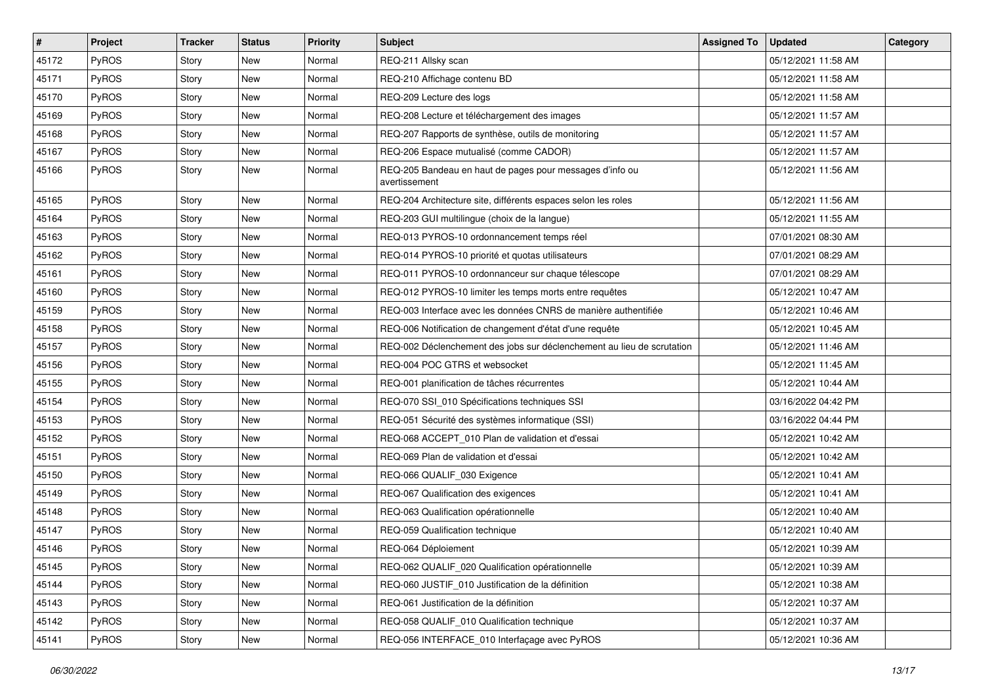| $\vert$ # | Project      | <b>Tracker</b> | <b>Status</b> | <b>Priority</b> | Subject                                                                   | <b>Assigned To</b> | <b>Updated</b>      | Category |
|-----------|--------------|----------------|---------------|-----------------|---------------------------------------------------------------------------|--------------------|---------------------|----------|
| 45172     | PyROS        | Story          | New           | Normal          | REQ-211 Allsky scan                                                       |                    | 05/12/2021 11:58 AM |          |
| 45171     | PyROS        | Story          | <b>New</b>    | Normal          | REQ-210 Affichage contenu BD                                              |                    | 05/12/2021 11:58 AM |          |
| 45170     | PyROS        | Story          | New           | Normal          | REQ-209 Lecture des logs                                                  |                    | 05/12/2021 11:58 AM |          |
| 45169     | PyROS        | Story          | <b>New</b>    | Normal          | REQ-208 Lecture et téléchargement des images                              |                    | 05/12/2021 11:57 AM |          |
| 45168     | PyROS        | Story          | New           | Normal          | REQ-207 Rapports de synthèse, outils de monitoring                        |                    | 05/12/2021 11:57 AM |          |
| 45167     | PyROS        | Story          | New           | Normal          | REQ-206 Espace mutualisé (comme CADOR)                                    |                    | 05/12/2021 11:57 AM |          |
| 45166     | PyROS        | Story          | <b>New</b>    | Normal          | REQ-205 Bandeau en haut de pages pour messages d'info ou<br>avertissement |                    | 05/12/2021 11:56 AM |          |
| 45165     | PyROS        | Story          | <b>New</b>    | Normal          | REQ-204 Architecture site, différents espaces selon les roles             |                    | 05/12/2021 11:56 AM |          |
| 45164     | PyROS        | Story          | <b>New</b>    | Normal          | REQ-203 GUI multilingue (choix de la langue)                              |                    | 05/12/2021 11:55 AM |          |
| 45163     | <b>PyROS</b> | Story          | New           | Normal          | REQ-013 PYROS-10 ordonnancement temps réel                                |                    | 07/01/2021 08:30 AM |          |
| 45162     | PyROS        | Story          | <b>New</b>    | Normal          | REQ-014 PYROS-10 priorité et quotas utilisateurs                          |                    | 07/01/2021 08:29 AM |          |
| 45161     | PyROS        | Story          | New           | Normal          | REQ-011 PYROS-10 ordonnanceur sur chaque télescope                        |                    | 07/01/2021 08:29 AM |          |
| 45160     | PyROS        | Story          | New           | Normal          | REQ-012 PYROS-10 limiter les temps morts entre requêtes                   |                    | 05/12/2021 10:47 AM |          |
| 45159     | PyROS        | Story          | <b>New</b>    | Normal          | REQ-003 Interface avec les données CNRS de manière authentifiée           |                    | 05/12/2021 10:46 AM |          |
| 45158     | PyROS        | Story          | New           | Normal          | REQ-006 Notification de changement d'état d'une requête                   |                    | 05/12/2021 10:45 AM |          |
| 45157     | PyROS        | Story          | <b>New</b>    | Normal          | REQ-002 Déclenchement des jobs sur déclenchement au lieu de scrutation    |                    | 05/12/2021 11:46 AM |          |
| 45156     | PyROS        | Story          | New           | Normal          | REQ-004 POC GTRS et websocket                                             |                    | 05/12/2021 11:45 AM |          |
| 45155     | PyROS        | Story          | New           | Normal          | REQ-001 planification de tâches récurrentes                               |                    | 05/12/2021 10:44 AM |          |
| 45154     | PyROS        | Story          | <b>New</b>    | Normal          | REQ-070 SSI_010 Spécifications techniques SSI                             |                    | 03/16/2022 04:42 PM |          |
| 45153     | PyROS        | Story          | New           | Normal          | REQ-051 Sécurité des systèmes informatique (SSI)                          |                    | 03/16/2022 04:44 PM |          |
| 45152     | PyROS        | Story          | <b>New</b>    | Normal          | REQ-068 ACCEPT_010 Plan de validation et d'essai                          |                    | 05/12/2021 10:42 AM |          |
| 45151     | PyROS        | Story          | New           | Normal          | REQ-069 Plan de validation et d'essai                                     |                    | 05/12/2021 10:42 AM |          |
| 45150     | PyROS        | Story          | New           | Normal          | REQ-066 QUALIF 030 Exigence                                               |                    | 05/12/2021 10:41 AM |          |
| 45149     | PyROS        | Story          | <b>New</b>    | Normal          | REQ-067 Qualification des exigences                                       |                    | 05/12/2021 10:41 AM |          |
| 45148     | PyROS        | Story          | New           | Normal          | REQ-063 Qualification opérationnelle                                      |                    | 05/12/2021 10:40 AM |          |
| 45147     | PyROS        | Story          | New           | Normal          | REQ-059 Qualification technique                                           |                    | 05/12/2021 10:40 AM |          |
| 45146     | PyROS        | Story          | <b>New</b>    | Normal          | REQ-064 Déploiement                                                       |                    | 05/12/2021 10:39 AM |          |
| 45145     | PyROS        | Story          | New           | Normal          | REQ-062 QUALIF 020 Qualification opérationnelle                           |                    | 05/12/2021 10:39 AM |          |
| 45144     | PyROS        | Story          | New           | Normal          | REQ-060 JUSTIF 010 Justification de la définition                         |                    | 05/12/2021 10:38 AM |          |
| 45143     | PyROS        | Story          | New           | Normal          | REQ-061 Justification de la définition                                    |                    | 05/12/2021 10:37 AM |          |
| 45142     | PyROS        | Story          | New           | Normal          | REQ-058 QUALIF_010 Qualification technique                                |                    | 05/12/2021 10:37 AM |          |
| 45141     | PyROS        | Story          | New           | Normal          | REQ-056 INTERFACE_010 Interfaçage avec PyROS                              |                    | 05/12/2021 10:36 AM |          |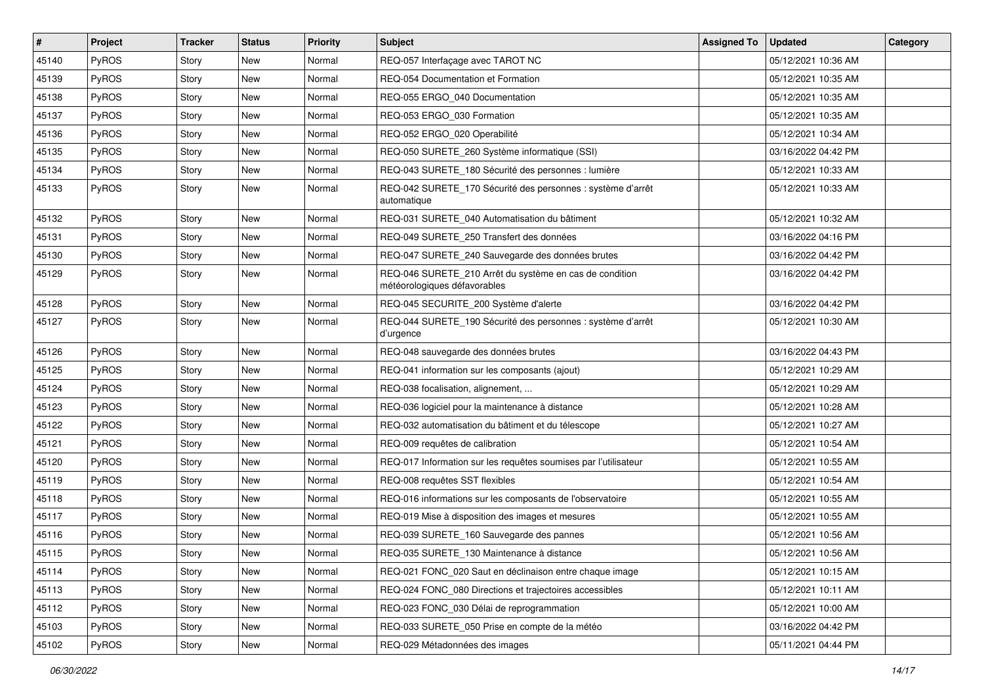| $\vert$ # | Project      | <b>Tracker</b> | <b>Status</b> | <b>Priority</b> | <b>Subject</b>                                                                          | <b>Assigned To</b> | <b>Updated</b>      | Category |
|-----------|--------------|----------------|---------------|-----------------|-----------------------------------------------------------------------------------------|--------------------|---------------------|----------|
| 45140     | PyROS        | Story          | New           | Normal          | REQ-057 Interfaçage avec TAROT NC                                                       |                    | 05/12/2021 10:36 AM |          |
| 45139     | PyROS        | Story          | New           | Normal          | REQ-054 Documentation et Formation                                                      |                    | 05/12/2021 10:35 AM |          |
| 45138     | <b>PyROS</b> | Story          | New           | Normal          | REQ-055 ERGO 040 Documentation                                                          |                    | 05/12/2021 10:35 AM |          |
| 45137     | PyROS        | Story          | New           | Normal          | REQ-053 ERGO 030 Formation                                                              |                    | 05/12/2021 10:35 AM |          |
| 45136     | PyROS        | Story          | New           | Normal          | REQ-052 ERGO_020 Operabilité                                                            |                    | 05/12/2021 10:34 AM |          |
| 45135     | PyROS        | Story          | New           | Normal          | REQ-050 SURETE_260 Système informatique (SSI)                                           |                    | 03/16/2022 04:42 PM |          |
| 45134     | PyROS        | Story          | New           | Normal          | REQ-043 SURETE_180 Sécurité des personnes : lumière                                     |                    | 05/12/2021 10:33 AM |          |
| 45133     | <b>PyROS</b> | Story          | New           | Normal          | REQ-042 SURETE_170 Sécurité des personnes : système d'arrêt<br>automatique              |                    | 05/12/2021 10:33 AM |          |
| 45132     | PyROS        | Story          | New           | Normal          | REQ-031 SURETE_040 Automatisation du bâtiment                                           |                    | 05/12/2021 10:32 AM |          |
| 45131     | <b>PyROS</b> | Story          | New           | Normal          | REQ-049 SURETE 250 Transfert des données                                                |                    | 03/16/2022 04:16 PM |          |
| 45130     | PyROS        | Story          | New           | Normal          | REQ-047 SURETE_240 Sauvegarde des données brutes                                        |                    | 03/16/2022 04:42 PM |          |
| 45129     | PyROS        | Story          | New           | Normal          | REQ-046 SURETE 210 Arrêt du système en cas de condition<br>météorologiques défavorables |                    | 03/16/2022 04:42 PM |          |
| 45128     | PyROS        | Story          | <b>New</b>    | Normal          | REQ-045 SECURITE_200 Système d'alerte                                                   |                    | 03/16/2022 04:42 PM |          |
| 45127     | PyROS        | Story          | New           | Normal          | REQ-044 SURETE 190 Sécurité des personnes : système d'arrêt<br>d'urgence                |                    | 05/12/2021 10:30 AM |          |
| 45126     | PyROS        | Story          | <b>New</b>    | Normal          | REQ-048 sauvegarde des données brutes                                                   |                    | 03/16/2022 04:43 PM |          |
| 45125     | PyROS        | Story          | New           | Normal          | REQ-041 information sur les composants (ajout)                                          |                    | 05/12/2021 10:29 AM |          |
| 45124     | PyROS        | Story          | New           | Normal          | REQ-038 focalisation, alignement,                                                       |                    | 05/12/2021 10:29 AM |          |
| 45123     | PyROS        | Story          | New           | Normal          | REQ-036 logiciel pour la maintenance à distance                                         |                    | 05/12/2021 10:28 AM |          |
| 45122     | PyROS        | Story          | <b>New</b>    | Normal          | REQ-032 automatisation du bâtiment et du télescope                                      |                    | 05/12/2021 10:27 AM |          |
| 45121     | PyROS        | Story          | New           | Normal          | REQ-009 requêtes de calibration                                                         |                    | 05/12/2021 10:54 AM |          |
| 45120     | <b>PyROS</b> | Story          | New           | Normal          | REQ-017 Information sur les requêtes soumises par l'utilisateur                         |                    | 05/12/2021 10:55 AM |          |
| 45119     | PyROS        | Story          | New           | Normal          | REQ-008 requêtes SST flexibles                                                          |                    | 05/12/2021 10:54 AM |          |
| 45118     | PyROS        | Story          | New           | Normal          | REQ-016 informations sur les composants de l'observatoire                               |                    | 05/12/2021 10:55 AM |          |
| 45117     | PyROS        | Story          | New           | Normal          | REQ-019 Mise à disposition des images et mesures                                        |                    | 05/12/2021 10:55 AM |          |
| 45116     | PyROS        | Story          | New           | Normal          | REQ-039 SURETE_160 Sauvegarde des pannes                                                |                    | 05/12/2021 10:56 AM |          |
| 45115     | PyROS        | Story          | New           | Normal          | REQ-035 SURETE 130 Maintenance à distance                                               |                    | 05/12/2021 10:56 AM |          |
| 45114     | PyROS        | Story          | New           | Normal          | REQ-021 FONC_020 Saut en déclinaison entre chaque image                                 |                    | 05/12/2021 10:15 AM |          |
| 45113     | PyROS        | Story          | New           | Normal          | REQ-024 FONC_080 Directions et trajectoires accessibles                                 |                    | 05/12/2021 10:11 AM |          |
| 45112     | PyROS        | Story          | New           | Normal          | REQ-023 FONC 030 Délai de reprogrammation                                               |                    | 05/12/2021 10:00 AM |          |
| 45103     | PyROS        | Story          | New           | Normal          | REQ-033 SURETE_050 Prise en compte de la météo                                          |                    | 03/16/2022 04:42 PM |          |
| 45102     | PyROS        | Story          | New           | Normal          | REQ-029 Métadonnées des images                                                          |                    | 05/11/2021 04:44 PM |          |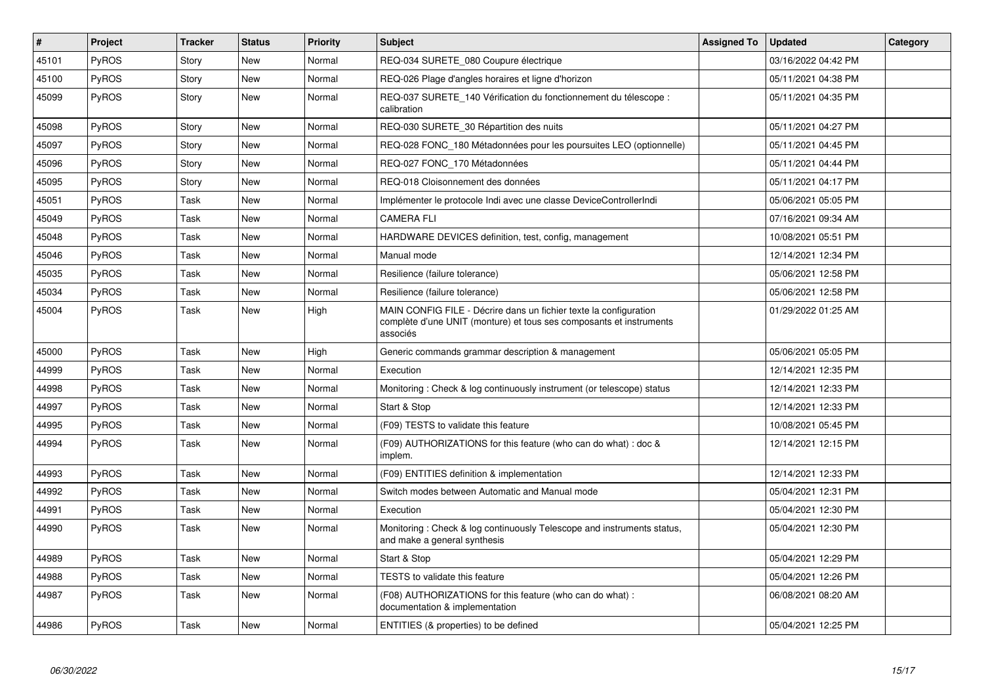| $\vert$ # | <b>Project</b> | <b>Tracker</b> | <b>Status</b> | <b>Priority</b> | <b>Subject</b>                                                                                                                                       | <b>Assigned To</b> | <b>Updated</b>      | Category |
|-----------|----------------|----------------|---------------|-----------------|------------------------------------------------------------------------------------------------------------------------------------------------------|--------------------|---------------------|----------|
| 45101     | PyROS          | Story          | <b>New</b>    | Normal          | REQ-034 SURETE 080 Coupure électrique                                                                                                                |                    | 03/16/2022 04:42 PM |          |
| 45100     | PyROS          | Story          | <b>New</b>    | Normal          | REQ-026 Plage d'angles horaires et ligne d'horizon                                                                                                   |                    | 05/11/2021 04:38 PM |          |
| 45099     | <b>PyROS</b>   | Story          | New           | Normal          | REQ-037 SURETE 140 Vérification du fonctionnement du télescope :<br>calibration                                                                      |                    | 05/11/2021 04:35 PM |          |
| 45098     | <b>PyROS</b>   | Story          | New           | Normal          | REQ-030 SURETE_30 Répartition des nuits                                                                                                              |                    | 05/11/2021 04:27 PM |          |
| 45097     | PyROS          | Story          | New           | Normal          | REQ-028 FONC 180 Métadonnées pour les poursuites LEO (optionnelle)                                                                                   |                    | 05/11/2021 04:45 PM |          |
| 45096     | <b>PyROS</b>   | Story          | New           | Normal          | REQ-027 FONC 170 Métadonnées                                                                                                                         |                    | 05/11/2021 04:44 PM |          |
| 45095     | PyROS          | Story          | New           | Normal          | REQ-018 Cloisonnement des données                                                                                                                    |                    | 05/11/2021 04:17 PM |          |
| 45051     | PyROS          | Task           | <b>New</b>    | Normal          | Implémenter le protocole Indi avec une classe DeviceControllerIndi                                                                                   |                    | 05/06/2021 05:05 PM |          |
| 45049     | PyROS          | Task           | New           | Normal          | <b>CAMERA FLI</b>                                                                                                                                    |                    | 07/16/2021 09:34 AM |          |
| 45048     | PyROS          | Task           | <b>New</b>    | Normal          | HARDWARE DEVICES definition, test, config, management                                                                                                |                    | 10/08/2021 05:51 PM |          |
| 45046     | PyROS          | Task           | New           | Normal          | Manual mode                                                                                                                                          |                    | 12/14/2021 12:34 PM |          |
| 45035     | PyROS          | Task           | <b>New</b>    | Normal          | Resilience (failure tolerance)                                                                                                                       |                    | 05/06/2021 12:58 PM |          |
| 45034     | <b>PyROS</b>   | Task           | New           | Normal          | Resilience (failure tolerance)                                                                                                                       |                    | 05/06/2021 12:58 PM |          |
| 45004     | <b>PyROS</b>   | Task           | New           | High            | MAIN CONFIG FILE - Décrire dans un fichier texte la configuration<br>complète d'une UNIT (monture) et tous ses composants et instruments<br>associés |                    | 01/29/2022 01:25 AM |          |
| 45000     | PyROS          | Task           | <b>New</b>    | High            | Generic commands grammar description & management                                                                                                    |                    | 05/06/2021 05:05 PM |          |
| 44999     | PyROS          | Task           | <b>New</b>    | Normal          | Execution                                                                                                                                            |                    | 12/14/2021 12:35 PM |          |
| 44998     | <b>PyROS</b>   | Task           | New           | Normal          | Monitoring: Check & log continuously instrument (or telescope) status                                                                                |                    | 12/14/2021 12:33 PM |          |
| 44997     | PyROS          | Task           | New           | Normal          | Start & Stop                                                                                                                                         |                    | 12/14/2021 12:33 PM |          |
| 44995     | PyROS          | Task           | <b>New</b>    | Normal          | (F09) TESTS to validate this feature                                                                                                                 |                    | 10/08/2021 05:45 PM |          |
| 44994     | <b>PyROS</b>   | Task           | New           | Normal          | (F09) AUTHORIZATIONS for this feature (who can do what) : doc &<br>implem.                                                                           |                    | 12/14/2021 12:15 PM |          |
| 44993     | <b>PyROS</b>   | Task           | New           | Normal          | (F09) ENTITIES definition & implementation                                                                                                           |                    | 12/14/2021 12:33 PM |          |
| 44992     | PyROS          | Task           | New           | Normal          | Switch modes between Automatic and Manual mode                                                                                                       |                    | 05/04/2021 12:31 PM |          |
| 44991     | PyROS          | Task           | New           | Normal          | Execution                                                                                                                                            |                    | 05/04/2021 12:30 PM |          |
| 44990     | PyROS          | Task           | New           | Normal          | Monitoring: Check & log continuously Telescope and instruments status,<br>and make a general synthesis                                               |                    | 05/04/2021 12:30 PM |          |
| 44989     | <b>PyROS</b>   | Task           | <b>New</b>    | Normal          | Start & Stop                                                                                                                                         |                    | 05/04/2021 12:29 PM |          |
| 44988     | PyROS          | Task           | New           | Normal          | <b>TESTS</b> to validate this feature                                                                                                                |                    | 05/04/2021 12:26 PM |          |
| 44987     | <b>PyROS</b>   | Task           | New           | Normal          | (F08) AUTHORIZATIONS for this feature (who can do what):<br>documentation & implementation                                                           |                    | 06/08/2021 08:20 AM |          |
| 44986     | <b>PyROS</b>   | Task           | New           | Normal          | ENTITIES (& properties) to be defined                                                                                                                |                    | 05/04/2021 12:25 PM |          |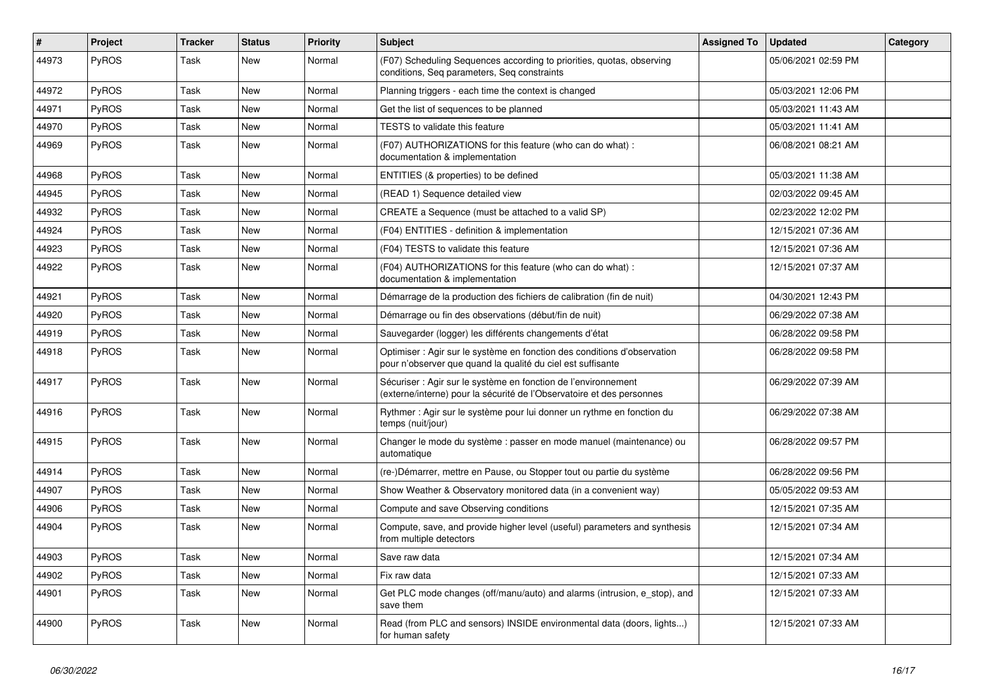| #     | Project      | <b>Tracker</b> | <b>Status</b> | <b>Priority</b> | <b>Subject</b>                                                                                                                          | <b>Assigned To</b> | <b>Updated</b>      | Category |
|-------|--------------|----------------|---------------|-----------------|-----------------------------------------------------------------------------------------------------------------------------------------|--------------------|---------------------|----------|
| 44973 | <b>PyROS</b> | Task           | New           | Normal          | (F07) Scheduling Sequences according to priorities, quotas, observing<br>conditions, Seg parameters, Seg constraints                    |                    | 05/06/2021 02:59 PM |          |
| 44972 | PyROS        | Task           | <b>New</b>    | Normal          | Planning triggers - each time the context is changed                                                                                    |                    | 05/03/2021 12:06 PM |          |
| 44971 | <b>PyROS</b> | Task           | <b>New</b>    | Normal          | Get the list of sequences to be planned                                                                                                 |                    | 05/03/2021 11:43 AM |          |
| 44970 | PyROS        | Task           | <b>New</b>    | Normal          | <b>TESTS</b> to validate this feature                                                                                                   |                    | 05/03/2021 11:41 AM |          |
| 44969 | PyROS        | Task           | <b>New</b>    | Normal          | (F07) AUTHORIZATIONS for this feature (who can do what) :<br>documentation & implementation                                             |                    | 06/08/2021 08:21 AM |          |
| 44968 | PyROS        | Task           | New           | Normal          | ENTITIES (& properties) to be defined                                                                                                   |                    | 05/03/2021 11:38 AM |          |
| 44945 | PyROS        | Task           | <b>New</b>    | Normal          | (READ 1) Sequence detailed view                                                                                                         |                    | 02/03/2022 09:45 AM |          |
| 44932 | <b>PyROS</b> | Task           | New           | Normal          | CREATE a Sequence (must be attached to a valid SP)                                                                                      |                    | 02/23/2022 12:02 PM |          |
| 44924 | <b>PyROS</b> | Task           | New           | Normal          | (F04) ENTITIES - definition & implementation                                                                                            |                    | 12/15/2021 07:36 AM |          |
| 44923 | PyROS        | Task           | New           | Normal          | (F04) TESTS to validate this feature                                                                                                    |                    | 12/15/2021 07:36 AM |          |
| 44922 | <b>PyROS</b> | Task           | New           | Normal          | (F04) AUTHORIZATIONS for this feature (who can do what) :<br>documentation & implementation                                             |                    | 12/15/2021 07:37 AM |          |
| 44921 | PyROS        | Task           | <b>New</b>    | Normal          | Démarrage de la production des fichiers de calibration (fin de nuit)                                                                    |                    | 04/30/2021 12:43 PM |          |
| 44920 | PyROS        | Task           | <b>New</b>    | Normal          | Démarrage ou fin des observations (début/fin de nuit)                                                                                   |                    | 06/29/2022 07:38 AM |          |
| 44919 | PyROS        | Task           | <b>New</b>    | Normal          | Sauvegarder (logger) les différents changements d'état                                                                                  |                    | 06/28/2022 09:58 PM |          |
| 44918 | PyROS        | Task           | <b>New</b>    | Normal          | Optimiser: Agir sur le système en fonction des conditions d'observation<br>pour n'observer que quand la qualité du ciel est suffisante  |                    | 06/28/2022 09:58 PM |          |
| 44917 | <b>PyROS</b> | Task           | <b>New</b>    | Normal          | Sécuriser : Agir sur le système en fonction de l'environnement<br>(externe/interne) pour la sécurité de l'Observatoire et des personnes |                    | 06/29/2022 07:39 AM |          |
| 44916 | <b>PyROS</b> | Task           | New           | Normal          | Rythmer: Agir sur le système pour lui donner un rythme en fonction du<br>temps (nuit/jour)                                              |                    | 06/29/2022 07:38 AM |          |
| 44915 | PyROS        | Task           | <b>New</b>    | Normal          | Changer le mode du système : passer en mode manuel (maintenance) ou<br>automatique                                                      |                    | 06/28/2022 09:57 PM |          |
| 44914 | PyROS        | Task           | <b>New</b>    | Normal          | (re-)Démarrer, mettre en Pause, ou Stopper tout ou partie du système                                                                    |                    | 06/28/2022 09:56 PM |          |
| 44907 | <b>PyROS</b> | Task           | New           | Normal          | Show Weather & Observatory monitored data (in a convenient way)                                                                         |                    | 05/05/2022 09:53 AM |          |
| 44906 | <b>PyROS</b> | Task           | <b>New</b>    | Normal          | Compute and save Observing conditions                                                                                                   |                    | 12/15/2021 07:35 AM |          |
| 44904 | PyROS        | Task           | New           | Normal          | Compute, save, and provide higher level (useful) parameters and synthesis<br>from multiple detectors                                    |                    | 12/15/2021 07:34 AM |          |
| 44903 | <b>PyROS</b> | Task           | New           | Normal          | Save raw data                                                                                                                           |                    | 12/15/2021 07:34 AM |          |
| 44902 | <b>PyROS</b> | Task           | New           | Normal          | Fix raw data                                                                                                                            |                    | 12/15/2021 07:33 AM |          |
| 44901 | <b>PyROS</b> | Task           | New           | Normal          | Get PLC mode changes (off/manu/auto) and alarms (intrusion, e_stop), and<br>save them                                                   |                    | 12/15/2021 07:33 AM |          |
| 44900 | <b>PyROS</b> | Task           | <b>New</b>    | Normal          | Read (from PLC and sensors) INSIDE environmental data (doors, lights)<br>for human safety                                               |                    | 12/15/2021 07:33 AM |          |